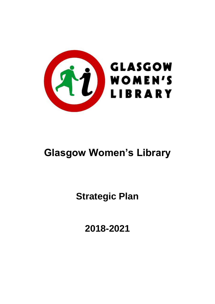

# **Glasgow Women's Library**

**Strategic Plan**

**2018-2021**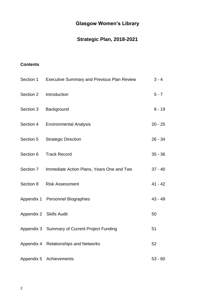# **Glasgow Women's Library**

## **Strategic Plan, 2018-2021**

### **Contents**

| Section 1 | <b>Executive Summary and Previous Plan Review</b> | $3 - 4$   |
|-----------|---------------------------------------------------|-----------|
| Section 2 | Introduction                                      | $5 - 7$   |
| Section 3 | Background                                        | $8 - 19$  |
| Section 4 | <b>Environmental Analysis</b>                     | $20 - 25$ |
| Section 5 | <b>Strategic Direction</b>                        | $26 - 34$ |
| Section 6 | <b>Track Record</b>                               | $35 - 36$ |
| Section 7 | Immediate Action Plans, Years One and Two         | $37 - 40$ |
| Section 8 | <b>Risk Assessment</b>                            | $41 - 42$ |
|           | Appendix 1 Personnel Biographies                  | $43 - 49$ |
|           | Appendix 2 Skills Audit                           | 50        |
|           | Appendix 3 Summary of Current Project Funding     | 51        |
|           | Appendix 4 Relationships and Networks             | 52        |
|           | Appendix 5 Achievements                           | $53 - 60$ |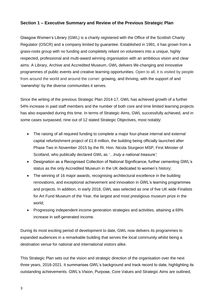### **Section 1 – Executive Summary and Review of the Previous Strategic Plan**

Glasgow Women's Library (GWL) is a charity registered with the Office of the Scottish Charity Regulator (OSCR) and a company limited by guarantee. Established in 1991, it has grown from a grass-roots group with no funding and completely reliant on volunteers into a unique, highly respected, professional and multi-award winning organisation with an ambitious vision and clear aims. A Library, Archive and Accredited Museum, GWL delivers life-changing and innovative programmes of public [events and creative learning opportunities.](http://womenslibrary.org.uk/events/photo/) Open to all, it is visited by people from around the world and around the corner: growing, and thriving, with the support of and 'ownership' by the diverse communities it serves.

Since the writing of the previous Strategic Plan 2014-17, GWL has achieved growth of a further 54% increase in paid staff members and the number of both core and time limited learning projects has also expanded during this time. In terms of Strategic Aims, GWL successfully achieved, and in some cases surpassed, nine out of 12 stated Strategic Objectives, most notably:

- The raising of all required funding to complete a major four-phase internal and external capital refurbishment project of £1.8 million, the building being officially launched after Phase Two in November 2015 by the Rt. Hon. Nicola Sturgeon MSP, First Minister of Scotland, who publically declared GWL as *'…truly a national treasure'*;
- Designation as a Recognised Collection of National Significance, further cementing GWL's status as the only Accredited Museum in the UK dedicated to women's history;
- The winning of 16 major awards, recognising architectural excellence in the building renovations, and exceptional achievement and innovation in GWL's learning programmes and projects. In addition, in early 2018, GWL was selected as one of five UK wide Finalists for Art Fund Museum of the Year, the largest and most prestigious museum prize in the world;
- Progressing independent income generation strategies and activities, attaining a 69% increase in self-generated income.

During its most exciting period of development to date, GWL now delivers its programmes to expanded audiences in a remarkable building that serves the local community whilst being a destination venue for national and international visitors alike.

This Strategic Plan sets out the vision and strategic direction of the organisation over the next three years, 2018-2021. It summarises GWL's background and track record to date, highlighting its outstanding achievements. GWL's Vision, Purpose, Core Values and Strategic Aims are outlined,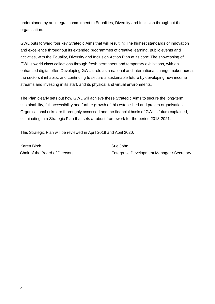underpinned by an integral commitment to Equalities, Diversity and Inclusion throughout the organisation.

GWL puts forward four key Strategic Aims that will result in: The highest standards of innovation and excellence throughout its extended programmes of creative learning, public events and activities, with the Equality, Diversity and Inclusion Action Plan at its core; The showcasing of GWL's world class collections through fresh permanent and temporary exhibitions, with an enhanced digital offer; Developing GWL's role as a national and international change maker across the sectors it inhabits; and continuing to secure a sustainable future by developing new income streams and investing in its staff, and its physical and virtual environments.

The Plan clearly sets out how GWL will achieve these Strategic Aims to secure the long-term sustainability, full accessibility and further growth of this established and proven organisation. Organisational risks are thoroughly assessed and the financial basis of GWL's future explained, culminating in a Strategic Plan that sets a robust framework for the period 2018-2021.

This Strategic Plan will be reviewed in April 2019 and April 2020.

Karen Birch Sue John Sue John

Chair of the Board of Directors **Chair of the Board of Directors** Enterprise Development Manager / Secretary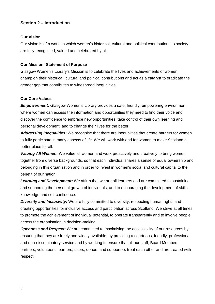### **Section 2 – Introduction**

### **Our Vision**

Our vision is of a world in which women's historical, cultural and political contributions to society are fully recognised, valued and celebrated by all.

#### **Our Mission: Statement of Purpose**

Glasgow Women's Library's Mission is to celebrate the lives and achievements of women, champion their historical, cultural and political contributions and act as a catalyst to eradicate the gender gap that contributes to widespread inequalities.

#### **Our Core Values**

*Empowerment:* Glasgow Women's Library provides a safe, friendly, empowering environment where women can access the information and opportunities they need to find their voice and discover the confidence to embrace new opportunities, take control of their own learning and personal development, and to change their lives for the better.

*Addressing Inequalities:* We recognise that there are inequalities that create barriers for women to fully participate in many aspects of life. We will work with and for women to make Scotland a better place for all.

*Valuing All Women:* We value all women and work proactively and creatively to bring women together from diverse backgrounds, so that each individual shares a sense of equal ownership and belonging in this organisation and in order to invest in women's social and cultural capital to the benefit of our nation.

*Learning and Development:* We affirm that we are all learners and are committed to sustaining and supporting the personal growth of individuals, and to encouraging the development of skills, knowledge and self-confidence.

**Diversity and Inclusivity:** We are fully committed to diversity, respecting human rights and creating opportunities for inclusive access and participation across Scotland. We strive at all times to promote the achievement of individual potential, to operate transparently and to involve people across the organisation in decision-making.

*Openness and Respect:* We are committed to maximising the accessibility of our resources by ensuring that they are freely and widely available; by providing a courteous, friendly, professional and non-discriminatory service and by working to ensure that all our staff, Board Members, partners, volunteers, learners, users, donors and supporters treat each other and are treated with respect.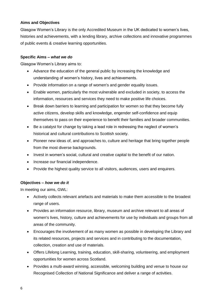### **Aims and Objectives**

Glasgow Women's Library is the only [Accredited Museum](http://womenslibrary.org.uk/explore-the-library-and-archive/the-museum-collection/) in the UK dedicated to women's lives, histories and achievements, with a [lending library,](http://womenslibrary.org.uk/explore-the-library-and-archive/the-lending-library/) [archive collections](http://womenslibrary.org.uk/explore-the-library-and-archive/the-archive-collection/) and innovative programmes of public [events & creative learning opportunities.](http://womenslibrary.org.uk/events/photo/)

### **Specific Aims –** *what we do*

Glasgow Women's Library aims to:

- Advance the education of the general public by increasing the knowledge and understanding of women's history, lives and achievements.
- Provide information on a range of women's and gender equality issues.
- Enable women, particularly the most vulnerable and excluded in society, to access the information, resources and services they need to make positive life choices.
- Break down barriers to learning and participation for women so that they become fully active citizens, develop skills and knowledge, engender self-confidence and equip themselves to pass on their experience to benefit their families and broader communities.
- Be a catalyst for change by taking a lead role in redressing the neglect of women's historical and cultural contributions to Scottish society.
- Pioneer new ideas of, and approaches to, culture and heritage that bring together people from the most diverse backgrounds.
- Invest in women's social, cultural and creative capital to the benefit of our nation.
- Increase our financial independence.
- Provide the highest quality service to all visitors, audiences, users and enquirers.

### **Objectives –** *how we do it*

In meeting our aims, GWL:

- Actively collects relevant artefacts and materials to make them accessible to the broadest range of users.
- Provides an information resource, library, museum and archive relevant to all areas of women's lives, history, culture and achievements for use by individuals and groups from all areas of the community.
- Encourages the involvement of as many women as possible in developing the Library and its related resources, projects and services and in contributing to the documentation, collection, creation and use of materials.
- Offers Lifelong Learning, training, education, skill-sharing, volunteering, and employment opportunities for women across Scotland.
- Provides a multi-award winning, accessible, welcoming building and venue to house our Recognised Collection of National Significance and deliver a range of activities.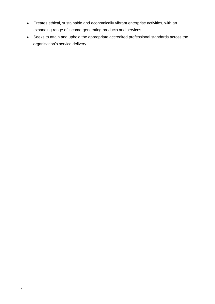- Creates ethical, sustainable and economically vibrant enterprise activities, with an expanding range of income-generating products and services.
- Seeks to attain and uphold the appropriate accredited professional standards across the organisation's service delivery.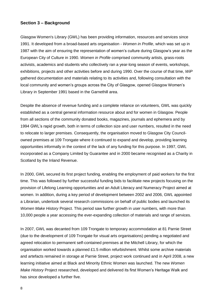### **Section 3 – Background**

Glasgow Women's Library (GWL) has been providing information, resources and services since 1991. It developed from a broad-based arts organisation - *Women in Profile*, which was set up in 1987 with the aim of ensuring the representation of women's culture during Glasgow's year as the European City of Culture in 1990. *Women in Profile* comprised community artists, grass-roots activists, academics and students who collectively ran a year-long season of events, workshops, exhibitions, projects and other activities before and during 1990. Over the course of that time, *WiP* gathered documentation and materials relating to its activities and, following consultation with the local community and women's groups across the City of Glasgow, opened Glasgow Women's Library in September 1991 based in the Garnethill area.

Despite the absence of revenue funding and a complete reliance on volunteers, GWL was quickly established as a central general information resource about and for women in Glasgow. People from all sections of the community donated books, magazines, journals and ephemera and by 1994 GWL's rapid growth, both in terms of collection size and user numbers, resulted in the need to relocate to larger premises. Consequently, the organisation moved to Glasgow City Councilowned premises at 109 Trongate where it continued to expand and develop, providing learning opportunities informally in the context of the lack of any funding for this purpose. In 1997, GWL incorporated as a Company Limited by Guarantee and in 2000 became recognised as a Charity in Scotland by the Inland Revenue.

In 2000, GWL secured its first project funding, enabling the employment of paid workers for the first time. This was followed by further successful funding bids to facilitate new projects focusing on the provision of Lifelong Learning opportunities and an Adult Literacy and Numeracy Project aimed at women. In addition, during a key period of development between 2002 and 2006, GWL appointed a Librarian, undertook several research commissions on behalf of public bodies and launched its *Women Make History* Project. This period saw further growth in user numbers, with more than 10,000 people a year accessing the ever-expanding collection of materials and range of services.

In 2007, GWL was decanted from 109 Trongate to temporary accommodation at 81 Parnie Street (due to the development of 109 Trongate for visual arts organisations) pending a negotiated and agreed relocation to permanent self-contained premises at the Mitchell Library, for which the organisation worked towards a planned £1.5 million refurbishment. Whilst some archive materials and artefacts remained in storage at Parnie Street, project work continued and in April 2008, a new learning initiative aimed at Black and Minority Ethnic Women was launched. The new *Women Make History* Project researched, developed and delivered its first Women's Heritage Walk and has since developed a further five.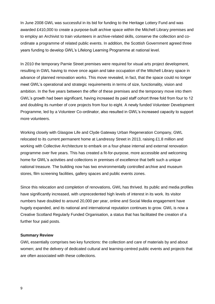In June 2008 GWL was successful in its bid for funding to the Heritage Lottery Fund and was awarded £410,000 to create a purpose-built archive space within the Mitchell Library premises and to employ an Archivist to train volunteers in archive-related skills, conserve the collection and coordinate a programme of related public events. In addition, the Scottish Government agreed three years funding to develop GWL's Lifelong Learning Programme at national level.

In 2010 the temporary Parnie Street premises were required for visual arts project development, resulting in GWL having to move once again and take occupation of the Mitchell Library space in advance of planned renovation works. This move revealed, in fact, that the space could no longer meet GWL's operational and strategic requirements in terms of size, functionality, vision and ambition. In the five years between the offer of these premises and the temporary move into them GWL's growth had been significant, having increased its paid staff cohort three fold from four to 12 and doubling its number of core projects from four to eight. A newly funded Volunteer Development Programme, led by a Volunteer Co-ordinator, also resulted in GWL's increased capacity to support more volunteers.

Working closely with Glasgow Life and Clyde Gateway Urban Regeneration Company, GWL relocated to its current permanent home at Landressy Street in 2013, raising £1.8 million and working with Collective Architecture to embark on a four-phase internal and external renovation programme over five years. This has created a fit-for-purpose, more accessible and welcoming home for GWL's activities and collections in premises of excellence that befit such a unique national treasure. The building now has two environmentally controlled archive and museum stores, film screening facilities, gallery spaces and public events zones.

Since this relocation and completion of renovations, GWL has thrived. Its public and media profiles have significantly increased, with unprecedented high levels of interest in its work. Its visitor numbers have doubled to around 20,000 per year, online and Social Media engagement have hugely expanded, and its national and international reputation continues to grow. GWL is now a Creative Scotland Regularly Funded Organisation, a status that has facilitated the creation of a further four paid posts.

#### **Summary Review**

GWL essentially comprises two key functions: the collection and care of materials by and about women; and the delivery of dedicated cultural and learning-centred public events and projects that are often associated with these collections.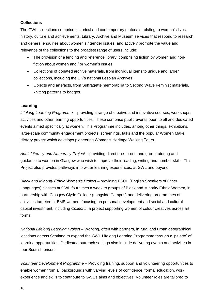### **Collections**

The GWL collections comprise historical and contemporary materials relating to women's lives, history, culture and achievements. Library, Archive and Museum services that respond to research and general enquiries about women's / gender issues, and actively promote the value and relevance of the collections to the broadest range of users include:

- The provision of a lending and reference library, comprising fiction by women and nonfiction about women and / or women's issues.
- Collections of donated archive materials, from individual items to unique and larger collections, including the UK's national Lesbian Archives.
- Objects and artefacts, from Suffragette memorabilia to Second Wave Feminist materials, knitting patterns to badges.

### **Learning**

*Lifelong Learning Programme* – providing a range of creative and innovative courses, workshops, activities and other learning opportunities. These comprise public events open to all and dedicated events aimed specifically at women. This Programme includes, among other things, exhibitions, large-scale community engagement projects, screenings, talks and the popular Women Make History project which develops pioneering Women's Heritage Walking Tours.

*Adult Literacy and Numeracy Project* – providing direct one-to-one and group tutoring and guidance to women in Glasgow who wish to improve their reading, writing and number skills. This Project also provides pathways into wider learning experiences, at GWL and beyond.

*Black and Minority Ethnic Women's Project –* providing ESOL (English Speakers of Other Languages) classes at GWL four times a week to groups of Black and Minority Ethnic Women, in partnership with Glasgow Clyde College (Langside Campus) and delivering programmes of activities targeted at BME women, focusing on personal development and social and cultural capital investment, including *Collect*:*if,* a project supporting women of colour creatives across art forms.

*National Lifelong Learning Project* – Working, often with partners, in rural and urban geographical locations across Scotland to expand the GWL Lifelong Learning Programme through a 'palette' of learning opportunities. Dedicated outreach settings also include delivering events and activities in four Scottish prisons.

*Volunteer Development Programme –* Providing training, support and volunteering opportunities to enable women from all backgrounds with varying levels of confidence, formal education, work experience and skills to contribute to GWL's aims and objectives. Volunteer roles are tailored to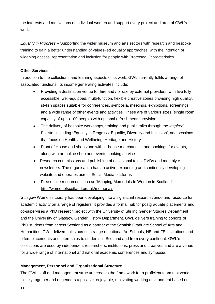the interests and motivations of individual women and support every project and area of GWL's work.

*Equality in Progress –* Supporting the wider museum and arts sectors with research and bespoke training to gain a better understanding of values-led equality approaches, with the intention of widening access, representation and inclusion for people with Protected Characteristics.

### **Other Services**

In addition to the collections and learning aspects of its work, GWL currently fulfils a range of associated functions. Its income generating activates include:

- Providing a destination venue for hire and / or use by external providers, with five fully accessible, well-equipped, multi-function, flexible creative zones providing high quality, stylish spaces suitable for conferences, symposia, meetings, exhibitions, screenings and a wide range of other events and activities. These are of various sizes (single room capacity of up to 100 people) with optional refreshments provision
- The delivery of bespoke workshops, training and public talks through the *Inspired!* Palette, including **'**Equality in Progress: Equality, Diversity and Inclusion', and sessions that focus on Health and Wellbeing, Heritage and History
- Front of House and shop zone with in-house merchandise and bookings for events, along with an online shop and events booking service
- Research commissions and publishing of occasional texts, DVDs and monthly enewsletters. The organisation has an active, expanding and continually developing website and operates across Social Media platforms
- Free online resources, such as 'Mapping Memorials to Women in Scotland' <http://womenofscotland.org.uk/memorials>

Glasgow Women's Library has been developing into a significant research venue and resource for academic activity on a range of registers. It provides a formal hub for postgraduate placements and co-supervises a PhD research project with the University of Stirling Gender Studies Department and the University of Glasgow Gender History Department. GWL delivers training to cohorts of PhD students from across Scotland as a partner of the Scottish Graduate School of Arts and Humanities. GWL delivers talks across a range of national Art Schools, HE and FE institutions and offers placements and internships to students in Scotland and from every continent. GWL's collections are used by independent researchers, institutions, press and creatives and are a venue for a wide range of international and national academic conferences and symposia.

### **Management, Personnel and Organisational Structure**

The GWL staff and management structure creates the framework for a proficient team that works closely together and engenders a positive, enjoyable, motivating working environment based on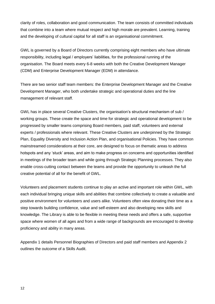clarity of roles, collaboration and good communication. The team consists of committed individuals that combine into a team where mutual respect and high morale are prevalent. Learning, training and the developing of cultural capital for all staff is an organisational commitment.

GWL is governed by a Board of Directors currently comprising eight members who have ultimate responsibility, including legal / employers' liabilities, for the professional running of the organisation. The Board meets every 6-8 weeks with both the Creative Development Manager (CDM) and Enterprise Development Manager (EDM) in attendance.

There are two senior staff team members: the Enterprise Development Manager and the Creative Development Manager, who both undertake strategic and operational duties and the line management of relevant staff.

GWL has in place several Creative Clusters, the organisation's structural mechanism of sub / working groups. These create the space and time for strategic and operational development to be progressed by smaller teams comprising Board members, paid staff, volunteers and external experts / professionals where relevant. These Creative Clusters are underpinned by the Strategic Plan, Equality Diversity and Inclusion Action Plan, and organisational Policies. They have common mainstreamed considerations at their core, are designed to focus on thematic areas to address hotspots and any 'stuck' areas, and aim to make progress on concerns and opportunities identified in meetings of the broader team and while going through Strategic Planning processes. They also enable cross-cutting contact between the teams and provide the opportunity to unleash the full creative potential of all for the benefit of GWL.

Volunteers and placement students continue to play an active and important role within GWL, with each individual bringing unique skills and abilities that combine collectively to create a valuable and positive environment for volunteers and users alike. Volunteers often view donating their time as a step towards building confidence, value and self-esteem and also developing new skills and knowledge. The Library is able to be flexible in meeting these needs and offers a safe, supportive space where women of all ages and from a wide range of backgrounds are encouraged to develop proficiency and ability in many areas.

Appendix 1 details Personnel Biographies of Directors and paid staff members and Appendix 2 outlines the outcome of a Skills Audit.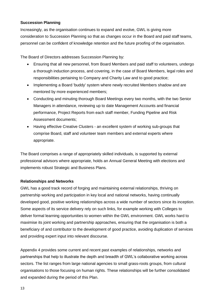### **Succession Planning**

Increasingly, as the organisation continues to expand and evolve, GWL is giving more consideration to Succession Planning so that as changes occur in the Board and paid staff teams, personnel can be confident of knowledge retention and the future proofing of the organisation.

The Board of Directors addresses Succession Planning by:

- Ensuring that all new personnel, from Board Members and paid staff to volunteers, undergo a thorough induction process, and covering, in the case of Board Members, legal roles and responsibilities pertaining to Company and Charity Law and to good practice;
- Implementing a Board 'buddy' system where newly recruited Members shadow and are mentored by more experienced members;
- Conducting and minuting thorough Board Meetings every two months, with the two Senior Managers in attendance, reviewing up to date Management Accounts and financial performance, Project Reports from each staff member, Funding Pipeline and Risk Assessment documents;
- Having effective Creative Clusters an excellent system of working sub-groups that comprise Board, staff and volunteer team members and external experts where appropriate.

The Board comprises a range of appropriately skilled individuals, is supported by external professional advisors where appropriate, holds an Annual General Meeting with elections and implements robust Strategic and Business Plans.

### **Relationships and Networks**

GWL has a good track record of forging and maintaining external relationships, thriving on partnership working and participation in key local and national networks, having continually developed good, positive working relationships across a wide number of sectors since its inception. Some aspects of its service delivery rely on such links, for example working with Colleges to deliver formal learning opportunities to women within the GWL environment. GWL works hard to maximise its joint working and partnership approaches, ensuring that the organisation is both a beneficiary of and contributor to the development of good practice, avoiding duplication of services and providing expert input into relevant discourse.

Appendix 4 provides some current and recent past examples of relationships, networks and partnerships that help to illustrate the depth and breadth of GWL's collaborative working across sectors. The list ranges from large national agencies to small grass-roots groups, from cultural organisations to those focusing on human rights. These relationships will be further consolidated and expanded during the period of this Plan.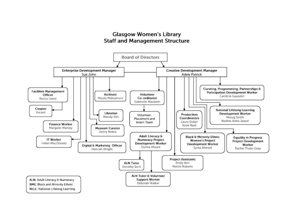### **Glasgow Women's Library Staff and Management Structure**

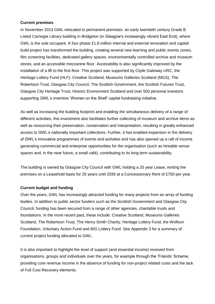### **Current premises**

In November 2013 GWL relocated to permanent premises: an early twentieth century Grade B Listed Carnegie Library building in Bridgeton (in Glasgow's increasingly vibrant East End), where GWL is the sole occupant. A four phase £1.8 million internal and external renovation and capital build project has transformed the building, creating several new learning and public events zones, film screening facilities, dedicated gallery spaces, environmentally controlled archive and museum stores, and an accessible mezzanine floor. Accessibility is also significantly improved by the installation of a lift to the first floor. This project was supported by Clyde Gateway URC, the Heritage Lottery Fund (HLF), Creative Scotland, Museums Galleries Scotland (MGS), The Robertson Trust, Glasgow City Council, The Scottish Government, the Scottish Futures Trust, Glasgow City Heritage Trust, Historic Environment Scotland and over 500 personal investors supporting GWL's inventive 'Women on the Shelf' capital fundraising initiative.

As well as increasing the building footprint and enabling the simultaneous delivery of a range of different activities, this investment also facilitates further collecting of museum and archive items as well as resourcing their preservation, conservation and interpretation, resulting in greatly enhanced access to GWL's nationally important collections. Further, it has enabled expansion in the delivery of GWL's innovative programmes of events and activities and has also opened up a raft of income generating commercial and enterprise opportunities for the organisation (such as hireable venue spaces and, in the near future, a small café), contributing to its long term sustainability.

The building is owned by Glasgow City Council with GWL holding a 25 year Lease, renting the premises on a Leasehold basis for 25 years until 2039 at a Concessionary Rent of £750 per year.

### **Current budget and funding**

Over the years, GWL has increasingly attracted funding for many projects from an array of funding bodies. In addition to public sector funders such as the Scottish Government and Glasgow City Council, funding has been secured from a range of other agencies, charitable trusts and foundations. In the more recent past, these include: Creative Scotland, Museums Galleries Scotland, The Robertson Trust, The Henry Smith Charity, Heritage Lottery Fund, the Wolfson Foundation, Voluntary Action Fund and BIG Lottery Fund. See Appendix 3 for a summary of current project funding allocated to GWL.

It is also important to highlight the level of support (and essential income) received from organisations, groups and individuals over the years, for example through the 'Friends' Scheme, providing core revenue income in the absence of funding for non-project related costs and the lack of Full Cost Recovery elements.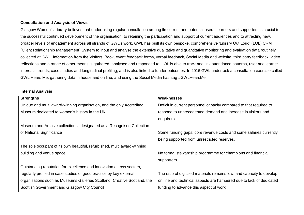### **Consultation and Analysis of Views**

Glasgow Women's Library believes that undertaking regular consultation among its current and potential users, learners and supporters is crucial to the successful continued development of the organisation, to retaining the participation and support of current audiences and to attracting new, broader levels of engagement across all strands of GWL's work. GWL has built its own bespoke, comprehensive 'Library Out Loud' (LOL) CRM (Client Relationship Management) System to input and analyse the extensive qualitative and quantitative monitoring and evaluation data routinely collected at GWL. Information from the Visitors' Book, event feedback forms, verbal feedback, Social Media and website, third party feedback, video reflections and a range of other means is gathered, analysed and responded to. LOL is able to track and link attendance patterns, user and learner interests, trends, case studies and longitudinal profiling, and is also linked to funder outcomes. In 2016 GWL undertook a consultation exercise called GWL Hears Me, gathering data in house and on line, and using the Social Media hashtag #GWLHearsMe

#### **Internal Analysis**

| <b>Strengths</b>                                                         | Weaknesses                                                            |
|--------------------------------------------------------------------------|-----------------------------------------------------------------------|
| Unique and multi award-winning organisation, and the only Accredited     | Deficit in current personnel capacity compared to that required to    |
| Museum dedicated to women's history in the UK                            | respond to unprecedented demand and increase in visitors and          |
|                                                                          | enquirers                                                             |
| Museum and Archive collection is designated as a Recognised Collection   |                                                                       |
| of National Significance                                                 | Some funding gaps: core revenue costs and some salaries currently     |
|                                                                          | being supported from unrestricted reserves.                           |
| The sole occupant of its own beautiful, refurbished, multi award-winning |                                                                       |
| building and venue space                                                 | No formal stewardship programme for champions and financial           |
|                                                                          | supporters                                                            |
| Outstanding reputation for excellence and innovation across sectors,     |                                                                       |
| regularly profiled in case studies of good practice by key external      | The ratio of digitised materials remains low, and capacity to develop |
| organisations such as Museums Galleries Scotland, Creative Scotland, the | on line and technical aspects are hampered due to lack of dedicated   |
| Scottish Government and Glasgow City Council                             | funding to advance this aspect of work                                |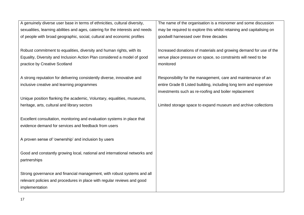A genuinely diverse user base in terms of ethnicities, cultural diversity, sexualities, learning abilities and ages, catering for the interests and needs of people with broad geographic, social, cultural and economic profiles

Robust commitment to equalities, diversity and human rights, with its Equality, Diversity and Inclusion Action Plan considered a model of good practice by Creative Scotland

A strong reputation for delivering consistently diverse, innovative and inclusive creative and learning programmes

Unique position flanking the academic, Voluntary, equalities, museums, heritage, arts, cultural and library sectors

Excellent consultation, monitoring and evaluation systems in place that evidence demand for services and feedback from users

A proven sense of 'ownership' and inclusion by users

Good and constantly growing local, national and international networks and partnerships

Strong governance and financial management, with robust systems and all relevant policies and procedures in place with regular reviews and good implementation

The name of the organisation is a misnomer and some discussion may be required to explore this whilst retaining and capitalising on goodwill harnessed over three decades

Increased donations of materials and growing demand for use of the venue place pressure on space, so constraints will need to be monitored

Responsibility for the management, care and maintenance of an entire Grade B Listed building, including long term and expensive investments such as re-roofing and boiler replacement

Limited storage space to expand museum and archive collections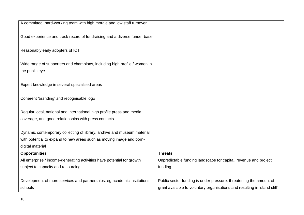| A committed, hard-working team with high morale and low staff turnover                      |                                                                           |
|---------------------------------------------------------------------------------------------|---------------------------------------------------------------------------|
| Good experience and track record of fundraising and a diverse funder base                   |                                                                           |
| Reasonably early adopters of ICT                                                            |                                                                           |
| Wide range of supporters and champions, including high profile / women in<br>the public eye |                                                                           |
|                                                                                             |                                                                           |
| Expert knowledge in several specialised areas                                               |                                                                           |
| Coherent 'branding' and recognisable logo                                                   |                                                                           |
| Regular local, national and international high profile press and media                      |                                                                           |
| coverage, and good relationships with press contacts                                        |                                                                           |
| Dynamic contemporary collecting of library, archive and museum material                     |                                                                           |
| with potential to expand to new areas such as moving image and born-                        |                                                                           |
| digital material                                                                            |                                                                           |
| <b>Opportunities</b>                                                                        | <b>Threats</b>                                                            |
| All enterprise / income-generating activities have potential for growth                     | Unpredictable funding landscape for capital, revenue and project          |
| subject to capacity and resourcing                                                          | funding                                                                   |
| Development of more services and partnerships, eg academic institutions,                    | Public sector funding is under pressure, threatening the amount of        |
| schools                                                                                     | grant available to voluntary organisations and resulting in 'stand still' |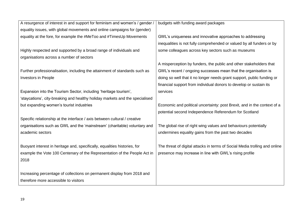| A resurgence of interest in and support for feminism and women's / gender    | budgets with funding award packages                                        |
|------------------------------------------------------------------------------|----------------------------------------------------------------------------|
| equality issues, with global movements and online campaigns for (gender)     |                                                                            |
| equality at the fore, for example the #MeToo and #TimesUp Movements          | GWL's uniqueness and innovative approaches to addressing                   |
|                                                                              | inequalities is not fully comprehended or valued by all funders or by      |
| Highly respected and supported by a broad range of individuals and           | some colleagues across key sectors such as museums                         |
| organisations across a number of sectors                                     |                                                                            |
|                                                                              | A misperception by funders, the public and other stakeholders that         |
| Further professionalisation, including the attainment of standards such as   | GWL's recent / ongoing successes mean that the organisation is             |
| Investors in People                                                          | doing so well that it no longer needs grant support, public funding or     |
|                                                                              | financial support from individual donors to develop or sustain its         |
| Expansion into the Tourism Sector, including 'heritage tourism',             | services                                                                   |
| 'staycations', city-breaking and healthy holiday markets and the specialised |                                                                            |
| but expanding women's tourist industries                                     | Economic and political uncertainty: post Brexit, and in the context of a   |
|                                                                              | potential second Independence Referendum for Scotland                      |
| Specific relationship at the interface / axis between cultural / creative    |                                                                            |
| organisations such as GWL and the 'mainstream' (charitable) voluntary and    | The global rise of right wing values and behaviours potentially            |
| academic sectors                                                             | undermines equality gains from the past two decades                        |
|                                                                              |                                                                            |
| Buoyant interest in heritage and, specifically, equalities histories, for    | The threat of digital attacks in terms of Social Media trolling and online |
| example the Vote 100 Centenary of the Representation of the People Act in    | presence may increase in line with GWL's rising profile                    |
| 2018                                                                         |                                                                            |
|                                                                              |                                                                            |
| Increasing percentage of collections on permanent display from 2018 and      |                                                                            |
| therefore more accessible to visitors                                        |                                                                            |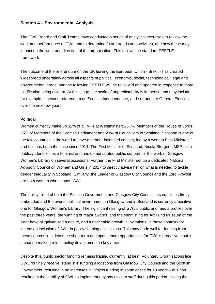### **Section 4 – Environmental Analysis**

The GWL Board and Staff Teams have conducted a series of analytical exercises to review the work and performance of GWL and to determine future trends and activities, and how these may impact on the work and direction of the organisation. This follows the standard PESTLE framework.

The outcome of the referendum on the UK leaving the European Union - Brexit - has created widespread uncertainly across all aspects of political, economic, social, technological, legal and environmental areas, and the following PESTLE will be reviewed and updated in response to more clarification being evident. At this stage, the scale of unpredictability is immense and may include, for example, a second referendum on Scottish Independence, and / or another General Election, over the next few years.

#### **Political**

Women currently make up 32% of all MPs at Westminster; 25.7% Members of the House of Lords; 35% of Members of the Scottish Parliament and 29% of Councillors in Scotland. Scotland is one of the few countries in the world to have a gender balanced cabinet, led by a woman First Minister, and this has been the case since 2014. The First Minister of Scotland, Nicola Sturgeon MSP, also publicly identifies as a feminist and has demonstrated public support for the work of Glasgow Women's Library on several occasions. Further, the First Minister set up a dedicated National Advisory Council on Women and Girls in 2017 to directly advise her on what is needed to tackle gender inequality in Scotland. Similarly, the Leader of Glasgow City Council and the Lord Provost are both women who support GWL.

The policy trend of both the Scottish Government and Glasgow City Council has equalities firmly embedded and the overall political environment in Glasgow and in Scotland is currently a positive one for Glasgow Women's Library. The significant raising of GWL's public and media profiles over the past three years, the winning of major awards, and the shortlisting for Art Fund Museum of the Year have all galvanised a desire, and a noticeable growth in invitations, in these contexts for increased inclusion of GWL in policy shaping discussions. This may bode well for funding from these sources in at least the short term and opens more opportunities for GWL's proactive input in a change making role in policy development in key areas.

Despite this, public sector funding remains fragile. Currently, at best, Voluntary Organisations like GWL routinely receive 'stand still' funding allocations from Glasgow City Council and the Scottish Government, resulting in no increases in Project funding in some cases for 10 years – this has resulted in the inability of GWL to implement any pay rises to staff during this period, risking the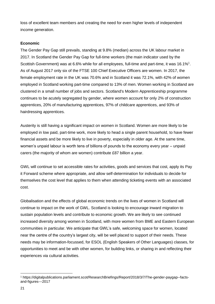loss of excellent team members and creating the need for even higher levels of independent income generation.

### **Economic**

The Gender Pay Gap still prevails, standing at 9.8% (median) across the UK labour market in 2017. In Scotland the Gender Pay Gap for full-time workers (the main indicator used by the Scottish Government) was at 6.6% while for all employees, full-time and part-time, it was 16.1%<sup>1</sup>. As of August 2017 only six of the FTSE 100 Chief Executive Officers are women. In 2017, the female employment rate in the UK was 70.6% and in Scotland it was 72.1%, with 42% of women employed in Scotland working part-time compared to 13% of men. Women working in Scotland are clustered in a small number of jobs and sectors. Scotland's Modern Apprenticeship programme continues to be acutely segregated by gender, where women account for only [2%](http://www.skillsdevelopmentscotland.co.uk/media/42952/modern-apprenticeship-statistics-up-to-the-end-of-quarter-3-2016-17.pdf) of construction apprentices, [20%](https://www.closethegap.org.uk/content/resources/Making-Manufacturing-Work-for-Women---Summary-of-research-findings-Close-the-Gap-June-2015.pdf) of manufacturing apprentices, [97%](http://www.skillsdevelopmentscotland.co.uk/media/41670/ma-by-level-framework-and-gender-2015-2016-q4.pdf) of childcare apprentices, and [93%](http://www.skillsdevelopmentscotland.co.uk/media/42030/ma-by-level-framework-and-gender-2016-2017-q1.pdf) of hairdressing apprentices.

Austerity is still having a significant impact on women in Scotland. Women are more likely to be employed in low paid, part-time work, more likely to head a single parent household, to have fewer financial assets and be more likely to live in poverty, especially in older age. At the same time, women's unpaid labour is worth tens of billions of pounds to the economy every year – unpaid carers (the majority of whom are women) contribute £87 billion a year.

GWL will continue to set accessible rates for activities, goods and services that cost, apply its Pay it Forward scheme where appropriate, and allow self-determination for individuals to decide for themselves the cost level that applies to them when attending ticketing events with an associated cost.

Globalisation and the effects of global economic trends on the lives of women in Scotland will continue to impact on the work of GWL. Scotland is looking to encourage inward migration to sustain population levels and contribute to economic growth. We are likely to see continued increased diversity among women in Scotland, with more women from BME and Eastern European communities in particular. We anticipate that GWL's safe, welcoming space for women, located near the centre of the country's largest city, will be well placed to support of their needs. These needs may be information-focussed, for ESOL (English Speakers of Other Languages) classes, for opportunities to meet and be with other women, for building links, or sharing in and reflecting their experiences via cultural activities.

<sup>1</sup> <sup>1</sup> https://digitalpublications.parliament.scot/ResearchBriefings/Report/2018/3/7/The-gender-paygap--factsand-figures---2017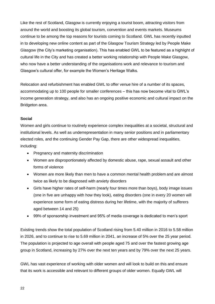Like the rest of Scotland, Glasgow is currently enjoying a tourist boom, attracting visitors from around the world and boosting its global tourism, convention and events markets. Museums continue to be among the top reasons for tourists coming to Scotland. GWL has recently inputted in to developing new online content as part of the Glasgow Tourism Strategy led by People Make Glasgow (the City's marketing organisation). This has enabled GWL to be featured as a highlight of cultural life in the City and has created a better working relationship with People Make Glasgow, who now have a better understanding of the organisations work and relevance to tourism and Glasgow's cultural offer, for example the Women's Heritage Walks.

Relocation and refurbishment has enabled GWL to offer venue hire of a number of its spaces, accommodating up to 100 people for smaller conferences – this has now become vital to GWL's income generation strategy, and also has an ongoing positive economic and cultural impact on the Bridgeton area.

### **Social**

Women and girls continue to routinely experience complex inequalities at a societal, structural and institutional levels. As well as underrepresentation in many senior positions and in parliamentary elected roles, and the continuing Gender Pay Gap, there are other widespread inequalities, including:

- Pregnancy and maternity discrimination
- Women are disproportionately affected by domestic abuse, rape, sexual assault and other forms of violence
- Women are more likely than men to have a common mental health problem and are almost twice as likely to be diagnosed with anxiety disorders
- Girls have higher rates of self-harm (nearly four times more than boys), body image issues (one in five are unhappy with how they look), eating disorders (one in every 20 women will experience some form of eating distress during her lifetime, with the majority of sufferers aged between 14 and 25)
- 99% of sponsorship investment and 95% of media coverage is dedicated to men's sport

Existing trends show the total population of Scotland rising from 5.40 million in 2016 to 5.58 million in 2026, and to continue to rise to 5.69 million in 2041, an increase of 5% over the 25 year period. The population is projected to age overall with people aged 75 and over the fastest growing age group in Scotland, increasing by 27% over the next ten years and by 79% over the next 25 years.

GWL has vast experience of working with older women and will look to build on this and ensure that its work is accessible and relevant to different groups of older women. Equally GWL will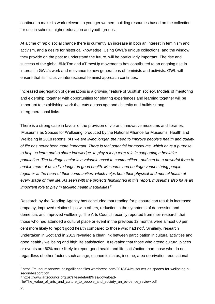continue to make its work relevant to younger women, building resources based on the collection for use in schools, higher education and youth groups.

At a time of rapid social change there is currently an increase in both an interest in feminism and activism, and a desire for historical knowledge. Using GWL's unique collections, and the window they provide on the past to understand the future, will be particularly important. The rise and success of the global #MeToo and #TimesUp movements has contributed to an ongoing rise in interest in GWL's work and relevance to new generations of feminists and activists. GWL will ensure that its inclusive intersectional feminist approach continues.

Increased segregation of generations is a growing feature of Scottish society. Models of mentoring and eldership, together with opportunities for sharing experiences and learning together will be important to establishing work that cuts across age and diversity and builds strong intergenerational links.

There is a strong case in favour of the provision of vibrant, innovative museums and libraries. 'Museums as Spaces for Wellbeing' produced by the National Alliance for Museums, Health and Wellbeing in 2018 reports: *'As we are living longer, the need to improve people's health and quality of life has never been more important. There is real potential for museums, which have a purpose to help us learn and to share knowledge, to play a long term role in supporting a healthier population. The heritage sector is a valuable asset to communities…and can be a powerful force to enable more of us to live longer in good health. Museums and heritage venues bring people together at the heart of their communities, which helps both their physical and mental health at every stage of their life. As seen with the projects highlighted in this report, museums also have an important role to play in tackling health inequalities'<sup>2</sup>*

Research by the Reading Agency has concluded that reading for pleasure can result in increased empathy, improved relationships with others, reduction in the symptoms of depression and dementia, and improved wellbeing. The Arts Council recently reported from their research that those who had attended a cultural place or event in the previous 12 months were almost 60 per cent more likely to report good health compared to those who had not<sup>3</sup>. Similarly, research undertaken in Scotland in 2013 revealed a clear link between participation in cultural activities and good health / wellbeing and high life satisfaction. It revealed that those who attend cultural places or events are 60% more likely to report good health and life satisfaction than those who do not, regardless of other factors such as age, economic status, income, area deprivation, educational

<sup>2</sup> https://museumsandwellbeingalliance.files.wordpress.com/2018/04/museums-as-spaces-for-wellbeing-asecond-report.pdf

<sup>3</sup> https://www.artscouncil.org.uk/sites/default/files/download-

file/The value of arts and culture to people and society an evidence review.pdf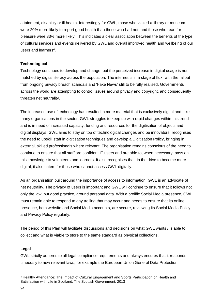attainment, disability or ill health. Interestingly for GWL, those who visited a library or museum were 20% more likely to report good health than those who had not, and those who read for pleasure were 33% more likely. This indicates a clear association between the benefits of the type of cultural services and events delivered by GWL and overall improved health and wellbeing of our users and learners<sup>4</sup>.

### **Technological**

Technology continues to develop and change, but the perceived increase in digital usage is not matched by digital literacy across the population. The internet is in a stage of flux, with the fallout from ongoing privacy breach scandals and 'Fake News' still to be fully realised. Governments across the world are attempting to control issues around privacy and copyright, and consequently threaten net neutrality.

The increased use of technology has resulted in more material that is exclusively digital and, like many organisations in the sector, GWL struggles to keep up with rapid changes within this trend and is in need of increased capacity, funding and resources for the digitisation of objects and digital displays. GWL aims to stay on top of technological changes and be innovators, recognises the need to upskill staff in digitisation techniques and develop a Digitisation Policy, bringing in external, skilled professionals where relevant. The organisation remains conscious of the need to continue to ensure that all staff are confident IT users and are able to, when necessary, pass on this knowledge to volunteers and learners. It also recognises that, in the drive to become more digital, it also caters for those who cannot access GWL digitally.

As an organisation built around the importance of access to information, GWL is an advocate of net neutrality. The privacy of users is important and GWL will continue to ensure that it follows not only the law, but good practice, around personal data. With a prolific Social Media presence, GWL must remain able to respond to any trolling that may occur and needs to ensure that its online presence, both website and Social Media accounts, are secure, reviewing its Social Media Policy and Privacy Policy regularly.

The period of this Plan will facilitate discussions and decisions on what GWL wants / is able to collect and what is viable to store to the same standard as physical collections.

### **Legal**

GWL strictly adheres to all legal compliance requirements and always ensures that it responds timeously to new relevant laws, for example the European Union General Data Protection

<sup>1</sup> <sup>4</sup> Healthy Attendance: The Impact of Cultural Engagement and Sports Participation on Health and Satisfaction with Life in Scotland, The Scottish Government, 2013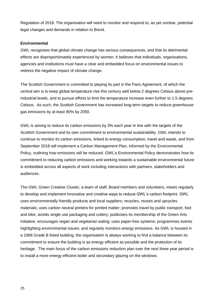Regulation of 2018. The organisation will need to monitor and respond to, as yet unclear, potential legal changes and demands in relation to Brexit.

### **Environmental**

GWL recognises that global climate change has serious consequences, and that its detrimental effects are disproportionately experienced by women. It believes that individuals, organisations, agencies and institutions must have a clear and embedded focus on environmental issues to redress the negative impact of climate change.

The Scottish Government is committed to playing its part in the Paris Agreement, of which the central aim is to keep global temperature rise this century well below 2 degrees Celsius above preindustrial levels, and to pursue efforts to limit the temperature increase even further to 1.5 degrees Celsius. As such, the Scottish Government has increased long-term targets to reduce greenhouse gas emissions by at least 90% by 2050.

GWL is aiming to reduce its carbon emissions by 3% each year in line with the targets of the Scottish Government and its own commitment to environmental sustainability. GWL intends to continue to monitor its carbon emissions, linked to energy consumption, travel and waste, and from September 2018 will implement a Carbon Management Plan, informed by the Environmental Policy, outlining how emissions will be reduced. GWL's Environmental Policy demonstrates how its commitment to reducing carbon emissions and working towards a sustainable environmental future is embedded across all aspects of work including interactions with partners, stakeholders and audiences.

The GWL Green Creative Cluster, a team of staff, Board members and volunteers, meets regularly to develop and implement innovative and creative ways to reduce GWL's carbon footprint. GWL uses environmentally friendly products and local suppliers; recycles, reuses and upcycles materials; uses carbon neutral printers for printed matter; promotes travel by public transport, foot and bike; avoids single use packaging and cutlery; publicises its membership of the Green Arts Initiative; encourages vegan and vegetarian eating; uses paper-free systems; programmes events highlighting environmental issues; and regularly monitors energy emissions. As GWL is housed in a 1906 Grade B listed building, the organisation is always working to find a balance between its commitment to ensure the building is as energy efficient as possible and the protection of its heritage. The main focus of the carbon emissions reduction plan over the next three year period is to install a more energy efficient boiler and secondary glazing on the windows.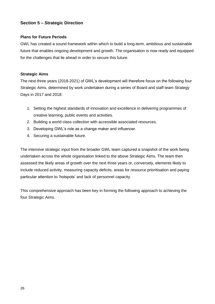### **Section 5 – Strategic Direction**

### **Plans for Future Periods**

GWL has created a sound framework within which to build a long-term, ambitious and sustainable future that enables ongoing development and growth. The organisation is now ready and equipped for the challenges that lie ahead in order to secure this future.

### **Strategic Aims**

The next three years (2018-2021) of GWL's development will therefore focus on the following four Strategic Aims, determined by work undertaken during a series of Board and staff team Strategy Days in 2017 and 2018:

- 1. Setting the highest standards of innovation and excellence in delivering programmes of creative learning, public events and activities.
- 2. Building a world class collection with accessible associated resources.
- 3. Developing GWL's role as a change maker and influencer.
- 4. Securing a sustainable future.

The intensive strategic input from the broader GWL team captured a snapshot of the work being undertaken across the whole organisation linked to the above Strategic Aims. The team then assessed the likely areas of growth over the next three years or, conversely, elements likely to include reduced activity, measuring capacity deficits, areas for resource prioritisation and paying particular attention to 'hotspots' and lack of personnel capacity.

This comprehensive approach has been key in forming the following approach to achieving the four Strategic Aims.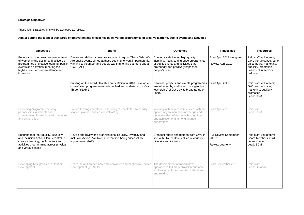### **Strategic Objectives**

These four Strategic Aims will be achieved as follows:

### **Aim 1: Setting the highest standards of innovation and excellence in delivering programmes of creative learning, public events and activities**

| <b>Objectives</b>                                                                                                                                                                                                     | <b>Actions</b>                                                                                                                                                                                                  | <b>Outcomes</b>                                                                                                                                                                   | <b>Timescales</b>                                         | <b>Resources</b>                                                                                                                           |
|-----------------------------------------------------------------------------------------------------------------------------------------------------------------------------------------------------------------------|-----------------------------------------------------------------------------------------------------------------------------------------------------------------------------------------------------------------|-----------------------------------------------------------------------------------------------------------------------------------------------------------------------------------|-----------------------------------------------------------|--------------------------------------------------------------------------------------------------------------------------------------------|
| Encouraging the proactive involvement<br>of women in the design and delivery of<br>programmes of creative learning, public<br>events and activities, meeting the<br>highest standards of excellence and<br>innovation | Devise and deliver a new programme of regular This Is Who We<br>Are public events aimed at those seeking to work in partnership,<br>wanting to volunteer and people wanting to find out more about<br>GWL (IAP) | Continually delivering high quality<br>inspiring, fresh, cutting edge programmes<br>of public events and activities that<br>profoundly and positively impact on<br>people's lives | Start April 2018 - ongoing;<br>Review April 2019          | Paid staff; volunteers;<br>GWL venue space; out of<br>office hours; marketing,<br>publicity, promotion<br>Lead: Volunteer Co-<br>ordinator |
|                                                                                                                                                                                                                       | Building on the #GWLHearsMe consultation in 2016, develop a<br>consultation programme to be launched and undertaken in Year<br>Three (YEAR 3)                                                                   | Services, projects and events programmes<br>are informed by and based on a genuine<br>'ownership' of GWL by its broad range of<br>users                                           | Start April 2020                                          | Paid staff; volunteers;<br>GWL venue space;<br>marketing, publicity,<br>promotion<br>Lead: CDM                                             |
| Extending programme delivery<br>partnerships in schools and<br>strengthening formal links with colleges<br>and universities                                                                                           | Source funding / curatorial resourcing to enable this to be fully<br>scoped, planned and costed (YEAR 2)                                                                                                        | Working with new constituencies, with the<br>opportunity to increase knowledge and<br>understanding of women's history, lives<br>and achievements among younger<br>generations    | Start April 2019                                          | Paid staff<br>Lead: CDM                                                                                                                    |
| Ensuring that the Equality, Diversity<br>and Inclusion Action Plan is central to<br>creative learning, public events and<br>activities programming across physical<br>and virtual spaces                              | Revise and review the organisational Equality, Diversity and<br>Inclusion Action Plan to ensure that it is being successfully<br>implemented (IAP)                                                              | Broadest public engagement with GWL in<br>line with GWL's Core Values of equality,<br>diversity and inclusion                                                                     | <b>Full Review September</b><br>2018;<br>Review quarterly | Paid staff; volunteers;<br><b>Board Members; GWL</b><br>venue space<br>Lead: EDM                                                           |
| Developing best practice in Reader<br>Development                                                                                                                                                                     | Research and embed new and innovative approaches to Reader<br>Development (YEAR 2)                                                                                                                              | The development of radical new<br>approaches to library provision and new<br>explorations of the potential of literature<br>and reading                                           | Start September 2019                                      | Paid staff<br>Lead: Librarian                                                                                                              |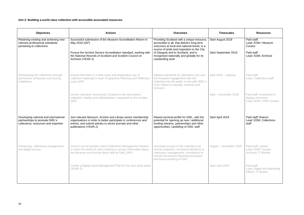### **Aim 2: Building a world class collection with accessible associated resources.**

| <b>Objectives</b>                                                                                              | <b>Actions</b>                                                                                                                                                                                                           | <b>Outcomes</b>                                                                                                                                                                                       | <b>Timescales</b>      | <b>Resources</b>                                                          |
|----------------------------------------------------------------------------------------------------------------|--------------------------------------------------------------------------------------------------------------------------------------------------------------------------------------------------------------------------|-------------------------------------------------------------------------------------------------------------------------------------------------------------------------------------------------------|------------------------|---------------------------------------------------------------------------|
| Retaining existing and achieving new<br>relevant professional standards<br>pertaining to collections           | Successful submission of the Museum Accreditation Return in<br>Providing Scotland with a unique resource,<br>accessible to all, that delivers long-term<br>May 2018 (IAP)<br>outcomes at local and national levels, is a |                                                                                                                                                                                                       | Start August 2018      | Paid staff;<br>Lead: EDM / Museum<br>Curator                              |
|                                                                                                                | Pursue the Archive Service Accreditation standard, working with<br>the National Records of Scotland and Scottish Council on<br>Archives (YEAR 2)                                                                         | source of pride and inspiration to the City<br>of Glasgow and to Scotland, and is<br>recognised nationally and globally for its<br>outstanding work                                                   | Start September 2019   | Paid staff<br>Lead: EDM; Archivist                                        |
| Showcasing the collections through<br>permanent, temporary and touring<br>exhibitions                          | Ensure that there is a wide array and imaginative use of<br>collection materials in each Programme Planning and Reflection<br>cycle (IAP)                                                                                | Highest standards of collections care and<br>the broadest engagement with the<br>collections by the public in line with GWL's<br>Core Values of equality, diversity and<br>inclusion                  | April 2018 – ongoing   | Paid staff<br>Lead: Collections staff                                     |
|                                                                                                                | Involve volunteer Community Curators in the 'permanent<br>collection' display and interpretation, supported by the Curator<br>(IAP)                                                                                      |                                                                                                                                                                                                       | April - December 2018  | Paid staff; investment in<br>display resources<br>Lead: EDM; CDM; Curator |
| Developing national and international<br>partnerships to promote GWL's<br>collections, resources and expertise | Join relevant Museum, Archive and Library sector membership<br>organisations in order to better participate in conferences and<br>events, and submit articles to sector journals and other<br>publications (YEAR 2)      | Raised sectoral profile for GWL, with the<br>potential for opening up new / additional<br>funding streams, partnerships and other<br>opportunities; Upskilling of GWL staff                           | Start April 2019       | Paid staff; finance<br>Lead: EDM; Collections<br>staff                    |
| Enhancing collections management<br>and digital access                                                         | Invest in an accessible online Collections Management System<br>to meet the needs of users wishing to access information about<br>the Museum and Archive items held at GWL (IAP)                                         | Increased access to the collections by<br>remote enquirers; increased efficiency of<br>collections management; contribution to<br>overall Succession Planning processes<br>and future proofing of GWL | August - November 2018 | Paid staff; system<br>Lead: EDM; Curator;<br>Archivist; IT Worker         |
|                                                                                                                | Create a Digital Asset Management Plan for the next three years<br>(YEAR 2)                                                                                                                                              |                                                                                                                                                                                                       | Start April 2019       | Paid staff<br>Lead: Digital and Marketing<br>Officer; IT Worker           |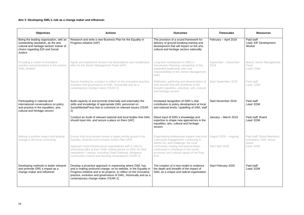### **Aim 3: Developing GWL's role as a change maker and influencer.**

| <b>Objectives</b>                                                                                                                                                          | <b>Actions</b>                                                                                                                                                                                                                                                                                                   | <b>Outcomes</b>                                                                                                                                                             | <b>Timescales</b>            | <b>Resources</b>                                             |
|----------------------------------------------------------------------------------------------------------------------------------------------------------------------------|------------------------------------------------------------------------------------------------------------------------------------------------------------------------------------------------------------------------------------------------------------------------------------------------------------------|-----------------------------------------------------------------------------------------------------------------------------------------------------------------------------|------------------------------|--------------------------------------------------------------|
| Being the leading organisation, with an<br>outstanding reputation, as the arts,<br>cultural and heritage sectors' trainer of<br>choice regarding EDI and Social<br>Justice | Research and write a new Business Plan for the Equality In<br>Progress initiative (IAP)                                                                                                                                                                                                                          | The provision of a sound framework for<br>delivery of ground breaking training and<br>development that will impact on the arts,<br>cultural and heritage sectors nationally | February - April 2019        | Paid staff<br>Lead: EiP Development<br>Worker                |
| Providing a model of innovative<br>practice and governance in the sectors<br><b>GWL</b> inhabits                                                                           | Agree and implement revised Job Descriptions and recalibrated<br>titles for the Senior Management Team (IAP)                                                                                                                                                                                                     | Long term contribution to GWL's<br>Succession Planning; recognition of the<br>expanded leadership roles and<br>responsibilities of the Senior Management<br>team            | September - December<br>2018 | <b>Board; Senior Management</b><br>Team<br>Lead: Chair       |
|                                                                                                                                                                            | Secure funding for a project to reflect on the innovative practice,<br>evolution and governance of GWL, historically and as a<br>contemporary change maker (YEAR 2)                                                                                                                                              | Reflection, gathering and dissemination of<br>vital records that will contribute to the<br>broader equalities, voluntary, arts, cultural<br>and heritage sectors            | Start September 2019         | Paid staff<br>Lead: CDM                                      |
| Participating in national and<br>international conversations on policy<br>and practice in the equalities, arts,<br>cultural and heritage sectors                           | Build capacity of and promote (internally and externally) the<br>skills and knowledge of appropriate GWL personnel on<br>Social/Media/Press lists to comment on relevant issues (YEAR<br>2)                                                                                                                      | Increased recognition of GWL's vital<br>contribution to policy development at local<br>and national levels; Upskilling of GWL staff                                         | Start November 2019          | Paid staff<br>Lead: EDM                                      |
|                                                                                                                                                                            | Conduct an Audit of relevant national and local bodies that GWL<br>should input into, and secure a place on them (IAP)                                                                                                                                                                                           | Direct input of GWL's knowledge and<br>expertise to shape new approaches in the<br>equalities, arts, cultural and heritage<br>sectors                                       | January - March 2019         | Paid staff; Board<br>Lead: EDM                               |
| Making a positive impact and leading<br>change in the local community                                                                                                      | Ensure that local people remain a target priority group in the<br>Equality, Diversity and Inclusion Action Plan (IAP)                                                                                                                                                                                            | Engendering widespread support and local<br>community engagement; continuing to<br>deliver for, and challenge, the local                                                    | August 2018 – ongoing        | Paid staff; Board Members;<br>volunteers; GWL venue<br>space |
|                                                                                                                                                                            | Approach local infrastructural organisations with a view to<br>presenting talks at their AGM, writing pieces on GWL for their<br>newsletters / reports, including Clyde Gateway, Bridgeton<br>Community Council and Housing Associations (YEAR 2)                                                                | community; forging new partnerships;<br>continuing to contribute to the social,<br>economic and cultural capital of the East<br>End                                         | Start April 2019             | Lead: EDM                                                    |
| Developing methods to better interpret<br>and promote GWL's impact as a<br>change maker and influencer                                                                     | Develop a proactive approach in expressing where GWL has<br>and is making profound change: on its website, in the Equality in<br>Progress initiative and in its projects, to reflect on the innovative<br>practice, evolution and governance of GWL, historically and as a<br>contemporary change maker (YEAR 2) | The creation of a new model to evidence<br>the depth and breadth of the impact of<br>GWL as a unique and radical organisation                                               | Start February 2020          | Paid staff<br>Lead: EDM                                      |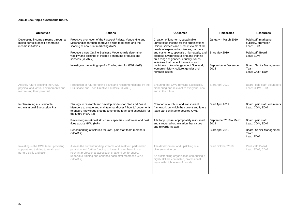### **Aim 4: Securing a sustainable future.**

| <b>Objectives</b>                                                                                       | <b>Actions</b>                                                                                                                                                                                                                                            | <b>Outcomes</b>                                                                                                                                                                    | <b>Timescales</b>              | <b>Resources</b>                                            |
|---------------------------------------------------------------------------------------------------------|-----------------------------------------------------------------------------------------------------------------------------------------------------------------------------------------------------------------------------------------------------------|------------------------------------------------------------------------------------------------------------------------------------------------------------------------------------|--------------------------------|-------------------------------------------------------------|
| Developing income streams through a<br>mixed portfolio of self-generating<br>income initiatives         | Proactive promotion of the Inspired! Palette, Venue Hire and<br>Merchandise through improved online marketing and the<br>scoping of new print marketing (IAP)                                                                                             | Creation of long-term, sustainable<br>unrestricted income for the organisation;<br>Unique services and products to meet the<br>needs of expanded audiences, partners               | January - March 2019           | Paid staff; marketing,<br>publicity, promotion<br>Lead: EDM |
|                                                                                                         | Produce a new Outline Business Model to fully determine<br>viability and costings of income generating products and<br>services (YEAR 2)                                                                                                                  | and customers; specialist, high-quality and<br>bespoke awareness raising and training<br>on a range of gender / equality issues;                                                   | Start May 2019                 | Paid staff; Board<br>Lead: EDM                              |
|                                                                                                         | Investigate the setting up of a Trading Arm for GWL (IAP)                                                                                                                                                                                                 | initiatives that benefit the nation and<br>contribute to knowledge about Scotland,<br>women's history, culture, gender and<br>heritage issues                                      | September - December<br>2018   | Board; Senior Management<br>Team<br>Lead: Chair; EDM        |
| Actively future proofing the GWL<br>physical and virtual environments and<br>maximising their potential | Production of futureproofing plans and recommendations by the<br>Our Space and Tech Creative Clusters (YEAR 3)                                                                                                                                            | Ensuring that GWL remains accessible,<br>pioneering and relevant to everyone, now<br>and in the future                                                                             | Start April 2020               | Board; paid staff; volunteers<br>Lead: CDM; EDM             |
| Implementing a sustainable<br>organisational Succession Plan                                            | Strategy to research and develop models for Staff and Board<br>Members to create and maintain hand-over / 'how to' documents<br>to ensure knowledge sharing among the team and especially for<br>the future (YEAR 2)                                      | Creation of a robust and transparent<br>framework on which the current and future<br>team can continue to develop GWL                                                              | Start April 2019               | Board; paid staff; volunteers<br>Lead: CDM; EDM             |
|                                                                                                         | Review organisational structure, capacities, staff roles and post<br>titles across GWL (IAP)                                                                                                                                                              | A fit for purpose, appropriately resourced<br>and structured organisation that values<br>and rewards its staff                                                                     | September 2018 - March<br>2019 | Board; paid staff<br>Lead: CDM; EDM                         |
|                                                                                                         | Benchmarking of salaries for GWL paid staff team members<br>(YEAR 2)                                                                                                                                                                                      |                                                                                                                                                                                    | Start April 2019               | Board; Senior Management<br>Team<br>Lead: EDM               |
| Investing in the GWL team, providing<br>support and training to retain and<br>nurture skills and talent | Assess the current funding streams and seek out partnership<br>provision and further funding to invest in memberships to<br>relevant professional associations, attend conferences,<br>undertake training and enhance each staff member's CPD<br>(YEAR 2) | The development and upskilling of a<br>diverse workforce<br>An outstanding organisation comprising a<br>highly skilled, committed, professional<br>team with high levels of morale | Start October 2019             | Paid staff; Board<br>Lead: EDM; CDM                         |
|                                                                                                         |                                                                                                                                                                                                                                                           |                                                                                                                                                                                    |                                |                                                             |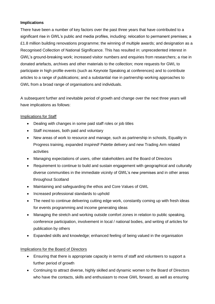### **Implications**

There have been a number of key factors over the past three years that have contributed to a significant rise in GWL's public and media profiles, including: relocation to permanent premises; a £1.8 million building renovations programme; the winning of multiple awards; and designation as a Recognised Collection of National Significance. This has resulted in: unprecedented interest in GWL's ground-breaking work; increased visitor numbers and enquiries from researchers; a rise in donated artefacts, archives and other materials to the collection; more requests for GWL to participate in high profile events (such as Keynote Speaking at conferences) and to contribute articles to a range of publications; and a substantial rise in partnership working approaches to GWL from a broad range of organisations and individuals.

A subsequent further and inevitable period of growth and change over the next three years will have implications as follows:

### Implications for Staff

- Dealing with changes in some paid staff roles or job titles
- Staff increases, both paid and voluntary
- New areas of work to resource and manage, such as partnership in schools, Equality in Progress training, expanded *Inspired!* Palette delivery and new Trading Arm related activities
- Managing expectations of users, other stakeholders and the Board of Directors
- Requirement to continue to build and sustain engagement with geographical and culturally diverse communities in the immediate vicinity of GWL's new premises and in other areas throughout Scotland
- Maintaining and safeguarding the ethos and Core Values of GWL
- Increased professional standards to uphold
- The need to continue delivering cutting edge work, constantly coming up with fresh ideas for events programming and income generating ideas
- Managing the stretch and working outside comfort zones in relation to public speaking, conference participation, involvement in local / national bodies, and writing of articles for publication by others
- Expanded skills and knowledge; enhanced feeling of being valued in the organisation

### Implications for the Board of Directors

- Ensuring that there is appropriate capacity in terms of staff and volunteers to support a further period of growth
- Continuing to attract diverse, highly skilled and dynamic women to the Board of Directors who have the contacts, skills and enthusiasm to move GWL forward, as well as ensuring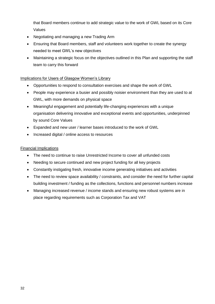that Board members continue to add strategic value to the work of GWL based on its Core Values

- Negotiating and managing a new Trading Arm
- Ensuring that Board members, staff and volunteers work together to create the synergy needed to meet GWL's new objectives
- Maintaining a strategic focus on the objectives outlined in this Plan and supporting the staff team to carry this forward

### Implications for Users of Glasgow Women's Library

- Opportunities to respond to consultation exercises and shape the work of GWL
- People may experience a busier and possibly noisier environment than they are used to at GWL, with more demands on physical space
- Meaningful engagement and potentially life-changing experiences with a unique organisation delivering innovative and exceptional events and opportunities, underpinned by sound Core Values
- Expanded and new user / learner bases introduced to the work of GWL
- Increased digital / online access to resources

### Financial Implications

- The need to continue to raise Unrestricted Income to cover all unfunded costs
- Needing to secure continued and new project funding for all key projects
- Constantly instigating fresh, innovative income generating initiatives and activities
- The need to review space availability / constraints, and consider the need for further capital building investment / funding as the collections, functions and personnel numbers increase
- Managing increased revenue / income stands and ensuring new robust systems are in place regarding requirements such as Corporation Tax and VAT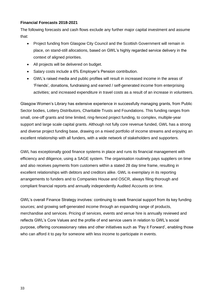### **Financial Forecasts 2018-2021**

The following forecasts and cash flows exclude any further major capital investment and assume that:

- Project funding from Glasgow City Council and the Scottish Government will remain in place, on stand-still allocations, based on GWL's highly regarded service delivery in the context of aligned priorities.
- All projects will be delivered on budget.
- Salary costs include a 6% Employer's Pension contribution.
- GWL's raised media and public profiles will result in increased income in the areas of 'Friends', donations, fundraising and earned / self-generated income from enterprising activities; and increased expenditure in travel costs as a result of an increase in volunteers.

Glasgow Women's Library has extensive experience in successfully managing grants, from Public Sector bodies, Lottery Distributors, Charitable Trusts and Foundations. This funding ranges from small, one-off grants and time limited, ring-fenced project funding, to complex, multiple-year support and large scale capital grants. Although not fully core revenue funded, GWL has a strong and diverse project funding base, drawing on a mixed portfolio of income streams and enjoying an excellent relationship with all funders, with a wide network of stakeholders and supporters.

GWL has exceptionally good finance systems in place and runs its financial management with efficiency and diligence, using a SAGE system. The organisation routinely pays suppliers on time and also receives payments from customers within a stated 28 day time frame, resulting in excellent relationships with debtors and creditors alike. GWL is exemplary in its reporting arrangements to funders and to Companies House and OSCR, always filing thorough and compliant financial reports and annually independently Audited Accounts on time.

GWL's overall Finance Strategy involves: continuing to seek financial support from its key funding sources; and growing self-generated income through an expanding range of products, merchandise and services. Pricing of services, events and venue hire is annually reviewed and reflects GWL's Core Values and the profile of end service users in relation to GWL's social purpose, offering concessionary rates and other initiatives such as 'Pay it Forward', enabling those who can afford it to pay for someone with less income to participate in events.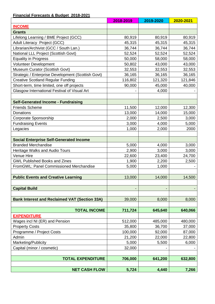### **Financial Forecasts & Budget 2018-2021**

|                                                      | 2018-2019 | 2019-2020 | 2020-2021 |
|------------------------------------------------------|-----------|-----------|-----------|
| <b>INCOME</b>                                        |           |           |           |
| <b>Grants</b>                                        |           |           |           |
| Lifelong Learning / BME Project (GCC)                | 80,919    | 80,919    | 80,919    |
| Adult Literacy Project (GCC)                         | 45,315    | 45,315    | 45,315    |
| Librarian/Archivist (GCC / South Lan.)               | 36,744    | 36,744    | 36,744    |
| National LLL Project (Scottish Govt)                 | 52,524    | 52,524    | 52,524    |
| <b>Equality in Progress</b>                          | 50,000    | 58,000    | 58,000    |
| <b>Volunteer Development</b>                         | 50,802    | 43,000    | 43,000    |
| Museum Curator (Scottish Govt)                       | 32,553    | 32,553    | 32,553    |
| Strategic / Enterprise Development (Scottish Govt)   | 36,165    | 36,165    | 36,165    |
| <b>Creative Scotland Regular Funding</b>             | 116,802   | 121,320   | 121,846   |
| Short-term, time limited, one off projects           | 90,000    | 45,000    | 40,000    |
| Glasgow International Festival of Visual Art         |           | 4,000     |           |
|                                                      |           |           |           |
| <b>Self-Generated Income - Fundraising</b>           |           |           |           |
| <b>Friends Scheme</b>                                | 11,500    | 12,000    | 12,300    |
| Donations                                            | 13,000    | 14,000    | 15,000    |
| Corporate Sponsorship                                | 2,000     | 2,500     | 3,000     |
| <b>Fundraising Events</b>                            | 3,000     | 4,000     | 5,000     |
| Legacies                                             | 1,000     | 2,000     | 2000      |
|                                                      |           |           |           |
| <b>Social Enterprise Self-Generated Income</b>       |           |           |           |
| <b>Branded Merchandise</b>                           | 5,000     | 4,000     | 3,000     |
| <b>Heritage Walks and Audio Tours</b>                | 2,900     | 3,000     | 3,000     |
| Venue Hire                                           | 22,600    | 23,400    | 24,700    |
| <b>GWL Published Books and Zines</b>                 | 1,900     | 2,200     | 2,500     |
| FromGWL: Panel Commissioned Merchandise              | 5,000     | 1,000     |           |
|                                                      |           |           |           |
| <b>Public Events and Creative Learning</b>           | 13,000    | 14,000    | 14,500    |
|                                                      |           |           |           |
| <b>Capital Build</b>                                 |           |           |           |
|                                                      |           |           |           |
| <b>Bank Interest and Reclaimed VAT (Section 33A)</b> | 39,000    | 8,000     | 8,000     |
|                                                      |           |           |           |
| <b>TOTAL INCOME</b>                                  | 711,724   | 645,640   | 640,066   |
| <b>EXPENDITURE</b>                                   |           |           |           |
| Wages incl NI (ER) and Pension                       | 512,000   | 485,000   | 480,000   |
| <b>Property Costs</b>                                | 35,800    | 36,700    | 37,000    |
| Programme / Project Costs                            | 100,000   | 92,000    | 87,000    |
| Admin                                                | 21,200    | 22,000    | 22,800    |
| Marketing/Publicity                                  | 5,000     | 5,500     | 6,000     |
| Capital (minor / cosmetic)                           | 32,000    |           |           |
|                                                      |           |           |           |
| <b>TOTAL EXPENDITURE</b>                             | 706,000   | 641,200   | 632,800   |
|                                                      |           |           |           |
| <b>NET CASH FLOW</b>                                 | 5,724     | 4,440     | 7,266     |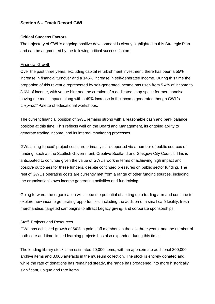### **Section 6 – Track Record GWL**

### **Critical Success Factors**

The trajectory of GWL's ongoing positive development is clearly highlighted in this Strategic Plan and can be augmented by the following critical success factors:

### Financial Growth

Over the past three years, excluding capital refurbishment investment, there has been a 55% increase in financial turnover and a 146% increase in self-generated income. During this time the proportion of this revenue represented by self-generated income has risen from 5.4% of income to 8.6% of income, with venue hire and the creation of a dedicated shop space for merchandise having the most impact, along with a 49% increase in the income generated though GWL's *'Inspired!'* Palette of educational workshops.

The current financial position of GWL remains strong with a reasonable cash and bank balance position at this time. This reflects well on the Board and Management, its ongoing ability to generate trading income, and its internal monitoring processes.

GWL's 'ring-fenced' project costs are primarily still supported via a number of public sources of funding, such as the Scottish Government, Creative Scotland and Glasgow City Council. This is anticipated to continue given the value of GWL's work in terms of achieving high impact and positive outcomes for these funders, despite continued pressures on public sector funding. The rest of GWL's operating costs are currently met from a range of other funding sources, including the organisation's own income generating activities and fundraising.

Going forward, the organisation will scope the potential of setting up a trading arm and continue to explore new income generating opportunities, including the addition of a small café facility, fresh merchandise, targeted campaigns to attract Legacy giving, and corporate sponsorships.

#### Staff, Projects and Resources

GWL has achieved growth of 54% in paid staff members in the last three years, and the number of both core and time limited learning projects has also expanded during this time.

The lending library stock is an estimated 20,000 items, with an approximate additional 300,000 archive items and 3,000 artefacts in the museum collection. The stock is entirely donated and, while the rate of donations has remained steady, the range has broadened into more historically significant, unique and rare items.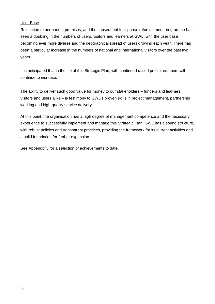### User Base

Relocation to permanent premises, and the subsequent four-phase refurbishment programme has seen a doubling in the numbers of users, visitors and learners at GWL, with the user base becoming ever more diverse and the geographical spread of users growing each year. There has been a particular increase in the numbers of national and international visitors over the past two years.

It is anticipated that in the life of this Strategic Plan, with continued raised profile, numbers will continue to increase.

The ability to deliver such good value for money to our stakeholders – funders and learners, visitors and users alike – is testimony to GWL's proven skills in project management, partnership working and high-quality service delivery.

At this point, the organisation has a high degree of management competence and the necessary experience to successfully implement and manage this Strategic Plan. GWL has a sound structure, with robust policies and transparent practices, providing the framework for its current activities and a solid foundation for further expansion.

See Appendix 5 for a selection of achievements to date.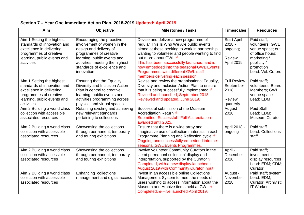| Aim                                                                                                                                                         | Objective                                                                                                                                                                                                                   | <b>Milestones / Tasks</b>                                                                                                                                                                                                                                                                                                                                                                      | <b>Timescales</b>                                                  | <b>Resources</b>                                                                                                                       |
|-------------------------------------------------------------------------------------------------------------------------------------------------------------|-----------------------------------------------------------------------------------------------------------------------------------------------------------------------------------------------------------------------------|------------------------------------------------------------------------------------------------------------------------------------------------------------------------------------------------------------------------------------------------------------------------------------------------------------------------------------------------------------------------------------------------|--------------------------------------------------------------------|----------------------------------------------------------------------------------------------------------------------------------------|
| Aim 1 Setting the highest<br>standards of innovation and<br>excellence in delivering<br>programmes of creative<br>learning, public events and<br>activities | Encouraging the proactive<br>involvement of women in the<br>design and delivery of<br>programmes of creative<br>learning, public events and<br>activities, meeting the highest<br>standards of excellence and<br>innovation | Devise and deliver a new programme of<br>regular This Is Who We Are public events<br>aimed at those seeking to work in partnership,<br>wanting to volunteer and people wanting to find<br>out more about GWL $\sqrt{}$<br>This has been successfully launched, and is<br>now embedded into the seasonal GWL Events<br>Programmes, with different GWL staff<br>members delivering each session. | <b>Start April</b><br>$2018 -$<br>ongoing;<br>Review<br>April 2019 | Paid staff;<br>volunteers; GWL<br>venue space; out<br>of office hours;<br>marketing /<br>publicity /<br>promotion<br>Lead: Vol. Co-ord |
| Aim 1 Setting the highest<br>standards of innovation and<br>excellence in delivering<br>programmes of creative<br>learning, public events and<br>activities | Ensuring that the Equality,<br>Diversity and Inclusion Action<br>Plan is central to creative<br>learning, public events and<br>activities programming across<br>physical and virtual spaces                                 | Revise and review the organisational Equality,<br>Diversity and Inclusion Action Plan to ensure<br>that it is being successfully implemented $\sqrt{ }$<br>Revised and launched, September 2018;<br>Reviewed and updated, June 2019.                                                                                                                                                           | <b>Full Review</b><br>September<br>2018<br>Review<br>quarterly     | Paid staff;<br>volunteers; Board<br>Members; GWL<br>venue space<br>Lead: EDM                                                           |
| Aim 2 Building a world class<br>collection with accessible<br>associated resources                                                                          | Retaining existing and achieving<br>new relevant standards<br>pertaining to collections                                                                                                                                     | Successful submission of the Museum<br>Accreditation Return $\sqrt{ }$<br>Submitted; Successful - Full Accreditation<br>awarded until 2025.                                                                                                                                                                                                                                                    | August<br>2018                                                     | Paid Staff<br>Lead: EDM;<br>Museum Curator                                                                                             |
| Aim 2 Building a world class<br>collection with accessible<br>associated resources                                                                          | Showcasing the collections<br>through permanent, temporary<br>and touring exhibitions                                                                                                                                       | Ensure that there is a wide array and<br>imaginative use of collection materials in each<br>Programme Planning and Reflection cycle $\sqrt$<br>Ongoing and successfully embedded into the<br>seasonal GWL Events Programmes.                                                                                                                                                                   | April 2018 -<br>ongoing                                            | Paid staff<br>Lead: Collections<br>staff                                                                                               |
| Aim 2 Building a world class<br>collection with accessible<br>associated resources                                                                          | Showcasing the collections<br>through permanent, temporary<br>and touring exhibitions                                                                                                                                       | Involve volunteer Community Curators in the<br>'semi-permanent collection' display and<br>interpretation, supported by the Curator $\sqrt{}$<br>Completed, with a new display launched in<br>August 2019 with Community Curator input.                                                                                                                                                         | April -<br>December<br>2018                                        | Paid staff;<br>investment in<br>display resources<br>Lead: EDM; CDM;<br>Curator                                                        |
| Aim 2 Building a world class<br>collection with accessible<br>associated resources                                                                          | Enhancing collections<br>management and digital access                                                                                                                                                                      | Invest in an accessible online Collections<br>Management System to meet the needs of<br>users wishing to access information about the<br>Museum and Archive items held at GWL $\sqrt{}$<br>Completed, e-Hive launched April 2019.                                                                                                                                                              | August -<br>November<br>2018                                       | Paid staff; system<br>Lead: EDM;<br>Curator; Archivist;<br><b>IT Worker</b>                                                            |

### **Section 7 – Year One Immediate Action Plan, 2018-2019 Updated: April 2019**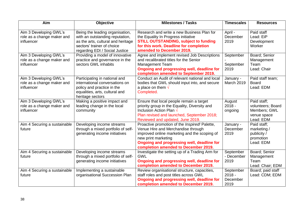| Aim                                                                | <b>Objective</b>                                                                                                                                                         | <b>Milestones / Tasks</b>                                                                                                                                                                                                                        | <b>Timescales</b>                         | <b>Resources</b>                                                             |
|--------------------------------------------------------------------|--------------------------------------------------------------------------------------------------------------------------------------------------------------------------|--------------------------------------------------------------------------------------------------------------------------------------------------------------------------------------------------------------------------------------------------|-------------------------------------------|------------------------------------------------------------------------------|
| Aim 3 Developing GWL's<br>role as a change maker and<br>influencer | Being the leading organisation,<br>with an outstanding reputation,<br>as the arts, cultural and heritage<br>sectors' trainer of choice<br>regarding EDI / Social Justice | Research and write a new Business Plan for<br>the Equality In Progress initiative<br><b>STILL OUTSTANDING, subject to funding</b><br>for this work. Deadline for completion<br>amended to December 2019.                                         | April -<br>December<br>2019               | Paid staff<br>Lead: EiP<br>Development<br>Worker                             |
| Aim 3 Developing GWL's<br>role as a change maker and<br>influencer | Providing a model of innovative<br>practice and governance in the<br>sectors GWL inhabits                                                                                | Agree and implement revised Job Descriptions<br>and recalibrated titles for the Senior<br><b>Management Team</b><br>Ongoing and progressing well, deadline for<br>completion amended to September 2019.                                          | September<br>September<br>2019            | Board; Senior<br>Management<br>Team<br>Lead: Chair                           |
| Aim 3 Developing GWL's<br>role as a change maker and<br>influencer | Participating in national and<br>international conversations on<br>policy and practice in the<br>equalities, arts, cultural and<br>heritage sectors                      | Conduct an Audit of relevant national and local<br>bodies that GWL should input into, and secure<br>a place on them $\sqrt{ }$<br>Completed.                                                                                                     | January -<br>March 2019                   | Paid staff team;<br><b>Board</b><br>Lead: EDM                                |
| Aim 3 Developing GWL's<br>role as a change maker and<br>influencer | Making a positive impact and<br>leading change in the local<br>community                                                                                                 | Ensure that local people remain a target<br>priority group in the Equality, Diversity and<br>Inclusion Action Plan<br>Plan revised and launched, September 2018;<br>Reviewed and updated, June 2019.                                             | August<br>$2018 -$<br>ongoing             | Paid staff;<br>volunteers; Board<br>Members; GWL<br>venue space<br>Lead: EDM |
| Aim 4 Securing a sustainable<br>future                             | Developing income streams<br>through a mixed portfolio of self-<br>generating income initiatives                                                                         | Proactive promotion of the Inspired! Palette,<br>Venue Hire and Merchandise through<br>improved online marketing and the scoping of<br>new print marketing<br>Ongoing and progressing well, deadline for<br>completion amended to December 2019. | January -<br>December<br>2019             | Paid staff;<br>marketing /<br>publicity /<br>promotion<br>Lead: EDM          |
| Aim 4 Securing a sustainable<br>future                             | Developing income streams<br>through a mixed portfolio of self-<br>generating income initiatives                                                                         | Investigate the setting up of a Trading Arm for<br><b>GWL</b><br>Ongoing and progressing well, deadline for<br>completion amended to December 2019.                                                                                              | September<br>- December<br>2019           | Board; Senior<br>Management<br>Team<br>Lead: Chair; EDM                      |
| Aim 4 Securing a sustainable<br>future                             | Implementing a sustainable<br>organisational Succession Plan                                                                                                             | Review organisational structure, capacities,<br>staff roles and post titles across GWL<br>Ongoing and progressing well, deadline for<br>completion amended to December 2019.                                                                     | September<br>$2018 -$<br>December<br>2019 | Board; paid staff<br>Lead: CDM; EDM                                          |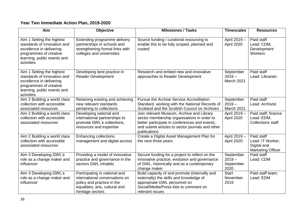### **Year Two Immediate Action Plan, 2019-2020**

| Aim                                                                                                                                                         | Objective                                                                                                                                           | <b>Milestones / Tasks</b>                                                                                                                                                                                     | <b>Timescales</b>                          | <b>Resources</b>                                                          |
|-------------------------------------------------------------------------------------------------------------------------------------------------------------|-----------------------------------------------------------------------------------------------------------------------------------------------------|---------------------------------------------------------------------------------------------------------------------------------------------------------------------------------------------------------------|--------------------------------------------|---------------------------------------------------------------------------|
| Aim 1 Setting the highest<br>standards of innovation and<br>excellence in delivering<br>programmes of creative<br>learning, public events and<br>activities | Extending programme delivery<br>partnerships in schools and<br>strengthening formal links with<br>colleges and universities                         | Source funding / curatorial resourcing to<br>enable this to be fully scoped, planned and<br>costed                                                                                                            | April 2019 -<br>April 2020                 | Paid staff<br>Lead: CDM,<br>Development<br>Workers                        |
| Aim 1 Setting the highest<br>standards of innovation and<br>excellence in delivering<br>programmes of creative<br>learning, public events and<br>activities | Developing best practice in<br><b>Reader Development</b>                                                                                            | Research and embed new and innovative<br>approaches to Reader Development                                                                                                                                     | September<br>$2019 -$<br>March 2021        | Paid staff<br>Lead: Librarian                                             |
| Aim 2 Building a world class<br>collection with accessible<br>associated resources                                                                          | Retaining existing and achieving<br>new relevant standards<br>pertaining to collections                                                             | <b>Pursue the Archive Service Accreditation</b><br>Standard, working with the National Records of<br>Scotland and the Scottish Council on Archives                                                            | September<br>$2019 -$<br>March 2021        | Paid staff<br>Lead: Archivist                                             |
| Aim 2 Building a world class<br>collection with accessible<br>associated resources                                                                          | Developing national and<br>international partnerships to<br>promote GWL's collections,<br>resources and expertise                                   | Join relevant Museum, Archive and Library<br>sector membership organisations in order to<br>better participate in conferences and events,<br>and submit articles to sector journals and other<br>publications | April 2019 -<br>April 2020                 | Paid staff; finance<br>Lead: EDM;<br><b>Collections staff</b>             |
| Aim 2 Building a world class<br>collection with accessible<br>associated resources                                                                          | <b>Enhancing collections</b><br>management and digital access                                                                                       | Create a Digital Asset Management Plan for<br>the next three years                                                                                                                                            | April 2019 -<br>April 2020                 | Paid staff<br>Lead: IT Worker;<br>Digital and<br><b>Marketing Officer</b> |
| Aim 3 Developing GWL's<br>role as a change maker and<br>influencer                                                                                          | Providing a model of innovative<br>practice and governance in the<br>sectors GWL inhabits                                                           | Secure funding for a project to reflect on the<br>innovative practice, evolution and governance<br>of GWL, historically and as a contemporary<br>change maker                                                 | September<br>$2019 -$<br>September<br>2020 | Paid staff<br>Lead: CDM                                                   |
| Aim 3 Developing GWL's<br>role as a change maker and<br>influencer                                                                                          | Participating in national and<br>international conversations on<br>policy and practice in the<br>equalities, arts, cultural and<br>heritage sectors | Build capacity of and promote (internally and<br>externally) the skills and knowledge of<br>appropriate GWL personnel on<br>Social/Media/Press lists to comment on<br>relevant issues                         | <b>Start</b><br>November<br>2019           | Paid staff team;<br>Lead: EDM                                             |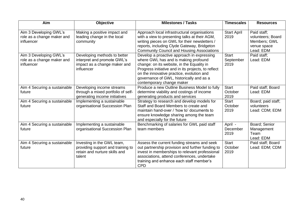| Aim                                                                | Objective                                                                                                  | <b>Milestones / Tasks</b>                                                                                                                                                                                                                                                                                     | <b>Timescales</b>                 | <b>Resources</b>                                                             |
|--------------------------------------------------------------------|------------------------------------------------------------------------------------------------------------|---------------------------------------------------------------------------------------------------------------------------------------------------------------------------------------------------------------------------------------------------------------------------------------------------------------|-----------------------------------|------------------------------------------------------------------------------|
| Aim 3 Developing GWL's<br>role as a change maker and<br>influencer | Making a positive impact and<br>leading change in the local<br>community                                   | Approach local infrastructural organisations<br>with a view to presenting talks at their AGM,<br>writing pieces on GWL for their newsletters /<br>reports, including Clyde Gateway, Bridgeton<br><b>Community Council and Housing Associations</b>                                                            | <b>Start April</b><br>2019        | Paid staff;<br>volunteers; Board<br>Members; GWL<br>venue space<br>Lead: EDM |
| Aim 3 Developing GWL's<br>role as a change maker and<br>influencer | Developing methods to better<br>interpret and promote GWL's<br>impact as a change maker and<br>influencer  | Develop a proactive approach in expressing<br>where GWL has and is making profound<br>change: on its website, in the Equality in<br>Progress initiative and in its projects, to reflect<br>on the innovative practice, evolution and<br>governance of GWL, historically and as a<br>contemporary change maker | <b>Start</b><br>September<br>2019 | Paid staff;<br>Lead: EDM                                                     |
| Aim 4 Securing a sustainable<br>future                             | Developing income streams<br>through a mixed portfolio of self-<br>generating income initiatives           | Produce a new Outline Business Model to fully<br>determine viability and costings of income<br>generating products and services                                                                                                                                                                               | <b>Start</b><br>October<br>2019   | Paid staff; Board<br>Lead: EDM                                               |
| Aim 4 Securing a sustainable<br>future                             | Implementing a sustainable<br>organisational Succession Plan                                               | Strategy to research and develop models for<br>Staff and Board Members to create and<br>maintain hand-over / 'how to' documents to<br>ensure knowledge sharing among the team<br>and especially for the future                                                                                                | <b>Start</b><br>October<br>2019   | Board; paid staff;<br>volunteers<br>Lead: CDM; EDM                           |
| Aim 4 Securing a sustainable<br>future                             | Implementing a sustainable<br>organisational Succession Plan                                               | Benchmarking of salaries for GWL paid staff<br>team members                                                                                                                                                                                                                                                   | April -<br>December<br>2019       | Board; Senior<br>Management<br>Team<br>Lead: EDM                             |
| Aim 4 Securing a sustainable<br>future                             | Investing in the GWL team,<br>providing support and training to<br>retain and nurture skills and<br>talent | Assess the current funding streams and seek<br>out partnership provision and further funding to<br>invest in memberships to relevant professional<br>associations, attend conferences, undertake<br>training and enhance each staff member's<br><b>CPD</b>                                                    | <b>Start</b><br>October<br>2019   | Paid staff; Board<br>Lead: EDM; CDM                                          |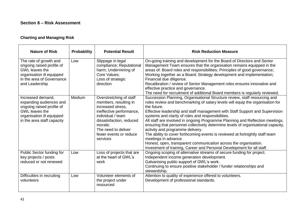### **Section 8 – Risk Assessment**

### **Charting and Managing Risk**

| <b>Nature of Risk</b>                                                                                                                                         | <b>Probability</b> | <b>Potential Result</b>                                                                                                                                                                                                    | <b>Risk Reduction Measure</b>                                                                                                                                                                                                                                                                                                                                                                                                                                                                                                                                                                                                                                                                                                                                                      |
|---------------------------------------------------------------------------------------------------------------------------------------------------------------|--------------------|----------------------------------------------------------------------------------------------------------------------------------------------------------------------------------------------------------------------------|------------------------------------------------------------------------------------------------------------------------------------------------------------------------------------------------------------------------------------------------------------------------------------------------------------------------------------------------------------------------------------------------------------------------------------------------------------------------------------------------------------------------------------------------------------------------------------------------------------------------------------------------------------------------------------------------------------------------------------------------------------------------------------|
| The rate of growth and<br>ongoing raised profile of<br><b>GWL</b> leaves the<br>organisation ill equipped<br>in the area of Governance<br>and Leadership      | Low                | Slippage in legal<br>compliance; Reputational<br>harm; Undermining of<br>Core Values;<br>Loss of strategic<br>direction                                                                                                    | On-going training and development for the Board of Directors and Senior<br>Management Team ensures that the organisation remains equipped in the<br>areas of: Board roles and responsibilities; Principles of good governance;<br>Working together as a Board; Strategy development and implementation;<br>Financial due diligence.<br>Recalibration / review of Senior Management roles ensures innovative and<br>effective practice and governance.<br>The need for recruitment of additional Board members is regularly reviewed.                                                                                                                                                                                                                                               |
| Increased demand,<br>expanding audiences and<br>ongoing raised profile of<br><b>GWL</b> leaves the<br>organisation ill equipped<br>in the area staff capacity | Medium             | Overstretching of staff<br>members, resulting in<br>increased stress.<br>ineffective performance,<br>individual / team<br>dissatisfaction, reduced<br>morale;<br>The need to deliver<br>fewer events or reduce<br>services | Succession Planning, Organisational Structure review, staff resourcing and<br>roles review and benchmarking of salary levels will equip the organisation for<br>the future.<br>Effective leadership and staff management with Staff Support and Supervision<br>systems and clarity of roles and responsibilities.<br>All staff are involved in ongoing Programme Planning and Reflection meetings,<br>ensuring that personnel collectively determine levels of organisational capacity,<br>activity and programme delivery.<br>The ability to cover forthcoming events is reviewed at fortnightly staff team<br>meetings in advance.<br>Honest, open, transparent communication across the organisation.<br>Investment of training, Career and Personal Development for all staff. |
| Public Sector funding for<br>key projects / posts<br>reduced or not renewed                                                                                   | Low                | Loss of projects that are<br>at the heart of GWL's<br>work                                                                                                                                                                 | Ongoing scoping of alternative streams of secure funding for project.<br>Independent income generation development.<br>Galvanising public support of GWL's work.<br>Continuing to ensure positive stakeholder / funder relationships and<br>stewardship.                                                                                                                                                                                                                                                                                                                                                                                                                                                                                                                           |
| Difficulties in recruiting<br>volunteers                                                                                                                      | Low                | Volunteer elements of<br>the project under<br>resourced                                                                                                                                                                    | Attention to quality of experience offered to volunteers.<br>Development of professional standards.                                                                                                                                                                                                                                                                                                                                                                                                                                                                                                                                                                                                                                                                                |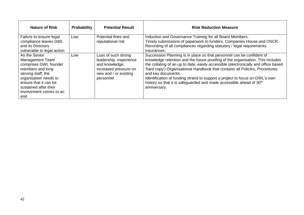| <b>Nature of Risk</b>                                                                                                                                                                                                   | Probability | <b>Potential Result</b>                                                                                                        | <b>Risk Reduction Measure</b>                                                                                                                                                                                                                                                                                                                                                                                                                                                                                                        |
|-------------------------------------------------------------------------------------------------------------------------------------------------------------------------------------------------------------------------|-------------|--------------------------------------------------------------------------------------------------------------------------------|--------------------------------------------------------------------------------------------------------------------------------------------------------------------------------------------------------------------------------------------------------------------------------------------------------------------------------------------------------------------------------------------------------------------------------------------------------------------------------------------------------------------------------------|
| Failure to ensure legal<br>compliance leaves GWL                                                                                                                                                                        | Low         | Potential fines and<br>reputational risk                                                                                       | Induction and Governance Training for all Board Members.<br>Timely submissions of paperwork to funders, Companies House and OSCR.                                                                                                                                                                                                                                                                                                                                                                                                    |
| and its Directors<br>vulnerable to legal action                                                                                                                                                                         |             |                                                                                                                                | Recording of all compliances regarding statutory / legal requirements.<br>Insurances.                                                                                                                                                                                                                                                                                                                                                                                                                                                |
| As the Senior<br><b>Management Team</b><br>comprises GWL founder<br>members and long<br>serving staff, the<br>organisation needs to<br>ensure that it can be<br>sustained after their<br>involvement comes to an<br>end | Low         | Loss of such strong<br>leadership, experience<br>and knowledge;<br>increased pressure on<br>new and / or existing<br>personnel | Succession Planning is in place so that personnel can be confident of<br>knowledge retention and the future proofing of the organisation. This includes<br>the collating of an up to date, easily accessible (electronically and office based<br>'hard copy') Organisational Handbook that contains all Policies, Procedures<br>and key documents.<br>Identification of funding strand to support a project to focus on GWL's own<br>history so that it is safeguarded and made accessible ahead of 30 <sup>th</sup><br>anniversary. |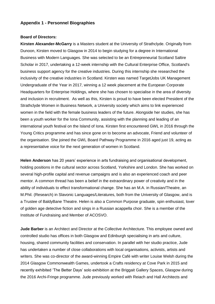### **Appendix 1 - Personnel Biographies**

#### **Board of Directors:**

**Kirsten Alexander-McGarry** is a Masters student at the University of Strathclyde. Originally from Dunoon, Kirsten moved to Glasgow in 2014 to begin studying for a degree in International Business with Modern Languages. She was selected to be an Entrepreneurial Scotland Saltire Scholar in 2017, undertaking a 12-week internship with the Cultural Enterprise Office, Scotland's business support agency for the creative industries. During this internship she researched the inclusivity of the creative industries in Scotland. Kirsten was named TargetJobs UK Management Undergraduate of the Year in 2017, winning a 12 week placement at the European Corporate Headquarters for Enterprise Holdings, where she has chosen to specialise in the area of diversity and inclusion in recruitment. As well as this, Kirsten is proud to have been elected President of the Strathclyde Women in Business Network, a University society which aims to link experienced women in the field with the female business leaders of the future. Alongside her studies, she has been a youth worker for the Iona Community, assisting with the planning and leading of an international youth festival on the Island of Iona. Kirsten first encountered GWL in 2016 through the Young Critics programme and has since gone on to become an advocate, Friend and volunteer of the organisation. She joined the GWL Board Pathway Programme in 2016 aged just 19, acting as a representative voice for the next generation of women in Scotland.

**Helen Anderson** has 20 years' experience in arts fundraising and organisational development, holding positions in the cultural sector across Scotland, Yorkshire and London. She has worked on several high-profile capital and revenue campaigns and is also an experienced coach and peer mentor. A common thread has been a belief in the extraordinary power of creativity and in the ability of individuals to effect transformational change. She has an M.A. in Russian/Theatre, an M.Phil. (Research) in Slavonic Languages/Literatures, both from the University of Glasgow, and is a Trustee of BaldyBane Theatre. Helen is also a Common Purpose graduate, spin enthusiast, lover of golden age detective fiction and sings in a Russian acappella choir. She is a member of the Institute of Fundraising and Member of ACOSVO.

**Jude Barber** is an Architect and Director at the Collective Architecture. This employee owned and controlled studio has offices in both Glasgow and Edinburgh specialising in arts and culture, housing, shared community facilities and conservation. In parallel with her studio practice, Jude has undertaken a number of close collaborations with local organisations, activists, artists and writers. She was co-director of the award-winning Empire Café with writer Louise Welsh during the 2014 Glasgow Commonwealth Games, undertook a Crafts residency at Cove Park in 2015 and recently exhibited 'The Better Days' solo exhibition at the Briggait Gallery Spaces, Glasgow during the 2016 Archi-Fringe programme. Jude previously worked with Reiach and Hall Architects and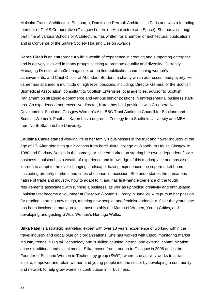Malcolm Fraser Architects in Edinburgh, Dominique Perrault Architects in Paris and was a founding member of GLAS Co-operative (Glasgow Letters on Architecture and Space). She has also taught part time at various Schools of Architecture, has written for a number of architectural publications and is Convenor of the Saltire Society Housing Design Awards.

**Karen Birch** is an entrepreneur with a wealth of experience in creating and supporting enterprise and is actively involved in many groups seeking to promote equality and diversity. Currently Managing Director at the3rdimagazine, an on-line publication championing women's achievements, and Chief Officer at Abundant Borders, a charity which addresses food poverty. Her career has spanned a multitude of high level positions, including: Director General of the Scottish Biomedical Association, consultant to Scottish Enterprise local agencies, advisor to Scottish Parliament on strategic e-commerce and various senior positions in entrepreneurial business startups. An experienced non-executive director, Karen has held positions with Co-operative Development Scotland, Glasgow Women's Aid, BBC Trust Audience Council for Scotland and Scottish Women's Football. Karen has a degree in Zoology from Sheffield University and MBA from North Staffordshire University.

**Louisina Currie** started working life in her family's businesses in the fruit and flower industry at the age of 17. After obtaining qualifications from horticultural college at Woodburn House Glasgow in 1980 and Floristry Design in the same year, she embarked on starting her own independent flower business. Louisina has a wealth of experience and knowledge of this marketplace and has also learned to adapt to the ever-changing landscape; having experienced the supermarket boom, fluctuating property markets and times of economic recession. She understands the precarious nature of trade and industry, how to adapt to it, and has first-hand experience of the tough requirements associated with running a business, as well as upholding creativity and enthusiasm. Louisina first become a volunteer at Glasgow Women's Library in June 2014 to pursue her passion for reading, learning new things, meeting new people, and feminist endeavour. Over the years, she has been involved in many projects most notably the March of Women, Young Critics, and developing and guiding GWL's Women's Heritage Walks.

**Silka Patel** is a strategic marketing expert with over 18 years' experience of working within the travel industry and global blue chip organisations. She has worked with Cisco, monitoring market industry trends in Digital Technology and is skilled at using internal and external communication across traditional and digital media. Silka moved from London to Glasgow in 2008 and is the Founder of Scotland Women in Technology group (SWiT), where she actively works to attract, inspire, empower and retain women and young people into the sector by developing a community and network to help grow women's contribution in IT business.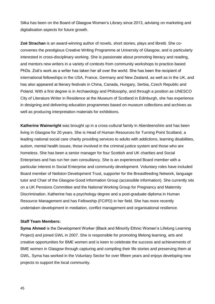Silka has been on the Board of Glasgow Women's Library since 2013, advising on marketing and digitalisation aspects for future growth.

**Zoë Strachan** is an award-winning author of novels, short stories, plays and libretti. She coconvenes the prestigious Creative Writing Programme at University of Glasgow, and is particularly interested in cross-disciplinary working. She is passionate about promoting literacy and reading, and mentors new writers in a variety of contexts from community workshops to practice-based PhDs. Zoë's work as a writer has taken her all over the world. She has been the recipient of international fellowships in the USA, France, Germany and New Zealand, as well as in the UK, and has also appeared at literary festivals in China, Canada, Hungary, Serbia, Czech Republic and Poland. With a first degree is in Archaeology and Philosophy, and through a position as UNESCO City of Literature Writer in Residence at the Museum of Scotland in Edinburgh, she has experience in designing and delivering education programmes based on museum collections and archives as well as producing interpretation materials for exhibitions.

**Katherine Wainwright** was brought up in a cross-cultural family in Aberdeenshire and has been living in Glasgow for 20 years. She is Head of Human Resources for Turning Point Scotland, a leading national social care charity providing services to adults with addictions, learning disabilities, autism, mental health issues, those involved in the criminal justice system and those who are homeless. She has been a senior manager for four Scottish and UK charities and Social Enterprises and has run her own consultancy. She is an experienced Board member with a particular interest in Social Enterprise and community development. Voluntary roles have included Board member of Neilston Development Trust, supporter for the Breastfeeding Network, language tutor and Chair of the Glasgow Good Information Group (accessible information). She currently sits on a UK Pensions Committee and the National Working Group for Pregnancy and Maternity Discrimination. Katherine has a psychology degree and a post-graduate diploma in Human Resource Management and has Fellowship (FCIPD) in her field. She has more recently undertaken development in mediation, conflict management and organisational resilience.

### **Staff Team Members:**

**Syma Ahmed** is the Development Worker (Black and Minority Ethnic Women's Lifelong Learning Project) and joined GWL in 2007. She is responsible for promoting lifelong learning, arts and creative opportunities for BME women and is keen to celebrate the success and achievements of BME women in Glasgow through capturing and compiling their life stories and preserving them at GWL. Syma has worked in the Voluntary Sector for over fifteen years and enjoys developing new projects to support the local community.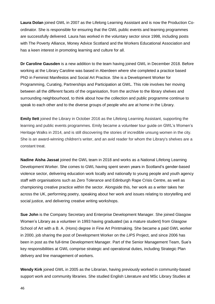**Laura Dolan** joined GWL in 2007 as the Lifelong Learning Assistant and is now the Production Coordinator. She is responsible for ensuring that the GWL public events and learning programmes are successfully delivered. Laura has worked in the voluntary sector since 1998, including posts with The Poverty Alliance, Money Advice Scotland and the Workers Educational Association and has a keen interest in promoting learning and culture for all.

**Dr Caroline Gausden** is a new addition to the team having joined GWL in December 2018. Before working at the Library Caroline was based in Aberdeen where she completed a practice based PhD in Feminist Manifestos and Social Art Practice. She is a Development Worker for Programming, Curating, Partnerships and Participation at GWL. This role involves her moving between all the different facets of the organisation, from the archive to the library shelves and surrounding neighbourhood, to think about how the collection and public programme continue to speak to each other and to the diverse groups of people who are at home in the Library.

**Emily Ilett** joined the Library in October 2016 as the Lifelong Learning Assistant, supporting the learning and public events programmes. Emily became a volunteer tour guide on GWL's Women's Heritage Walks in 2014, and is still discovering the stories of incredible unsung women in the city. She is an award-winning children's writer, and an avid reader for whom the Library's shelves are a constant treat.

**Nadine Aisha Jassat** joined the GWL team in 2018 and works as a National Lifelong Learning Development Worker. She comes to GWL having spent seven years in Scotland's gender-based violence sector, delivering education work locally and nationally to young people and youth agency staff with organisations such as Zero Tolerance and Edinburgh Rape Crisis Centre, as well as championing creative practice within the sector. Alongside this, her work as a writer takes her across the UK, performing poetry, speaking about her work and issues relating to storytelling and social justice, and delivering creative writing workshops.

**Sue John** is the Company Secretary and Enterprise Development Manager. She joined Glasgow Women's Library as a volunteer in 1993 having graduated (as a mature student) from Glasgow School of Art with a B. A. (Hons) degree in Fine Art Printmaking. She became a paid GWL worker in 2000, job sharing the post of Development Worker on the *LIPS* Project, and since 2006 has been in post as the full-time Development Manager. Part of the Senior Management Team, Sue's key responsibilities at GWL comprise strategic and operational duties, including Strategic Plan delivery and line management of workers.

**Wendy Kirk** joined GWL in 2005 as the Librarian, having previously worked in community-based support work and community libraries. She studied English Literature and MSc Library Studies at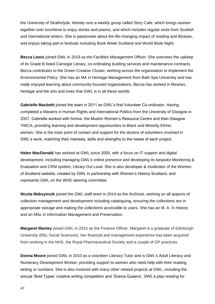the University of Strathclyde. Wendy runs a weekly group called Story Cafe, which brings women together over lunchtime to enjoy stories and poems, and which includes regular visits from Scottish and international writers. She is passionate about the life-changing impact of reading and libraries, and enjoys taking part in festivals including Book Week Scotland and World Book Night.

**Becca Lewis** joined GWL in 2019 as the Facilities Management Officer. She oversees the upkeep of its Grade B listed Carnegie Library, co-ordinating building services and maintenance contracts. Becca contributes to the Green Creative Cluster, working across the organisation to implement the Environmental Policy. She has an MA in Heritage Management from Bath Spa University and has really enjoyed learning about community focused organisations. Becca has worked in libraries, heritage and the arts and loves that GWL is in all these worlds.

**Gabrielle Macbeth** joined the team in 2011 as GWL's first Volunteer Co-ordinator. Having completed a Masters in Human Rights and International Politics from the University of Glasgow in 2007, Gabrielle worked with Amina: the Muslim Women's Resource Centre and then Glasgow YWCA, providing learning and development opportunities to Black and Minority Ethnic women. She is the main point of contact and support for the dozens of volunteers involved in GWL's work, matching their interests, skills and strengths to the needs of each project.

**Helen MacDonald** has worked at GWL since 2005, with a focus on IT support and digital development, including managing GWL's online presence and developing its bespoke Monitoring & Evaluation and CRM system, Library Out Loud. She is also developer & moderator of the Women of Scotland website, created by GWL in partnership with Women's History Scotland, and represents GWL on the WHS steering committee.

**Nicola Maksymuik** joined the GWL staff team in 2014 as the Archivist, working on all aspects of collection management and development including cataloguing, ensuring the collections are in appropriate storage and making the collections accessible to users. She has an M. A. in History and an MSc in Information Management and Preservation.

**Margaret Manley** joined GWL in 2015 as the Finance Officer. Margaret is a graduate of Edinburgh University (BSc Social Sciences). Her financial and management experience has been acquired from working in the NHS, the Royal Pharmaceutical Society and a couple of GP practices.

**Donna Moore** joined GWL in 2010 as a volunteer Literacy Tutor and is GWL's Adult Literacy and Numeracy Development Worker, providing support to women who need help with their reading, writing or numbers. She is also involved with many other related projects at GWL, including the annual 'Bold Types' creative writing competition and 'Drama Queens', GWL's play-reading for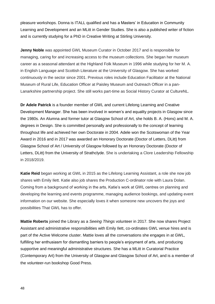pleasure workshops. Donna is ITALL qualified and has a Masters' in Education in Community Learning and Development and an MLitt in Gender Studies. She is also a published writer of fiction and is currently studying for a PhD in Creative Writing at Stirling University.

**Jenny Noble** was appointed GWL Museum Curator in October 2017 and is responsible for managing, caring for and increasing access to the museum collections. She began her museum career as a seasonal attendant at the Highland Folk Museum in 1996 while studying for her M. A. in English Language and Scottish Literature at the University of Glasgow. She has worked continuously in the sector since 2001. Previous roles include Education Facilitator at the National Museum of Rural Life, Education Officer at Paisley Museum and Outreach Officer in a pan-Lanarkshire partnership project. She still works part-time as Social History Curator at CultureNL.

**Dr Adele Patrick** is a founder member of GWL and current Lifelong Learning and Creative Development Manager. She has been involved in women's and equality projects in Glasgow since the 1980s. An Alumna and former tutor at Glasgow School of Art, she holds B. A. (Hons) and M. A. degrees in Design. She is committed personally and professionally to the concept of learning throughout life and achieved her own Doctorate in 2004. Adele won the Scotswoman of the Year Award in 2016 and in 2017 was awarded an Honorary Doctorate (Doctor of Letters, DLitt) from Glasgow School of Art / University of Glasgow followed by an Honorary Doctorate (Doctor of Letters, DLitt) from the University of Strathclyde. She is undertaking a Clore Leadership Fellowship in 2018/2019.

**Katie Reid** began working at GWL in 2015 as the Lifelong Learning Assistant, a role she now job shares with Emily Ilett. Katie also job shares the Production C-ordinator role with Laura Dolan. Coming from a background of working in the arts, Katie's work at GWL centres on planning and developing the learning and events programme, managing audience bookings, and updating event information on our website. She especially loves it when someone new uncovers the joys and possibilities That GWL has to offer.

**Mattie Roberts** joined the Library as a *Seeing Things* volunteer in 2017. She now shares Project Assistant and administrative responsibilities with Emily Ilett, co-ordinates GWL venue hires and is part of the Active Welcome cluster. Mattie loves all the conversations she engages in at GWL, fulfilling her enthusiasm for dismantling barriers to people's enjoyment of arts, and producing supportive and meaningful administrative structures. She has a MLitt in Curatorial Practice (Contemporary Art) from the University of Glasgow and Glasgow School of Art, and is a member of the volunteer-run bookshop Good Press.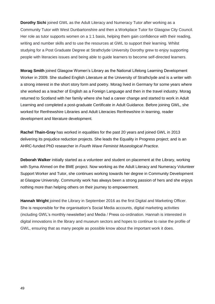**Dorothy Sichi** joined GWL as the Adult Literacy and Numeracy Tutor after working as a Community Tutor with West Dunbartonshire and then a Workplace Tutor for Glasgow City Council. Her role as tutor supports women on a 1:1 basis, helping them gain confidence with their reading, writing and number skills and to use the resources at GWL to support their learning. Whilst studying for a Post Graduate Degree at Strathclyde University Dorothy grew to enjoy supporting people with literacies issues and being able to guide learners to become self-directed learners.

**Morag Smith** joined Glasgow Women's Library as the National Lifelong Learning Development Worker in 2009. She studied English Literature at the University of Strathclyde and is a writer with a strong interest in the short story form and poetry. Morag lived in Germany for some years where she worked as a teacher of English as a Foreign Language and then in the travel industry. Morag returned to Scotland with her family where she had a career change and started to work in Adult Learning and completed a post-graduate Certificate in Adult Guidance. Before joining GWL, she worked for Renfrewshire Libraries and Adult Literacies Renfrewshire in learning, reader development and literature development.

**Rachel Thain-Gray** has worked in equalities for the past 20 years and joined GWL in 2013 delivering its prejudice reduction projects. She leads the Equality in Progress project; and is an AHRC-funded PhD researcher in *Fourth Wave Feminist Museological Practice*.

**Deborah Walker** initially started as a volunteer and student on placement at the Library, working with Syma Ahmed on the BME project. Now working as the Adult Literacy and Numeracy Volunteer Support Worker and Tutor, she continues working towards her degree in Community Development at Glasgow University. Community work has always been a strong passion of hers and she enjoys nothing more than helping others on their journey to empowerment.

**Hannah Wright** joined the Library in September 2016 as the first Digital and Marketing Officer. She is responsible for the organisation's Social Media accounts, digital marketing activities (including GWL's monthly newsletter) and Media / Press co-ordination. Hannah is interested in digital innovations in the library and museum sectors and hopes to continue to raise the profile of GWL, ensuring that as many people as possible know about the important work it does.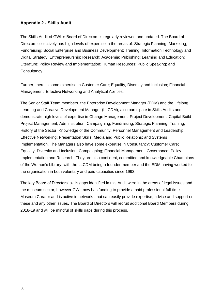### **Appendix 2 - Skills Audit**

The Skills Audit of GWL's Board of Directors is regularly reviewed and updated. The Board of Directors collectively has high levels of expertise in the areas of: Strategic Planning; Marketing; Fundraising; Social Enterprise and Business Development; Training; Information Technology and Digital Strategy; Entrepreneurship; Research; Academia; Publishing; Learning and Education; Literature; Policy Review and Implementation; Human Resources; Public Speaking; and Consultancy.

Further, there is some expertise in Customer Care; Equality, Diversity and Inclusion; Financial Management; Effective Networking and Analytical Abilities.

The Senior Staff Team members, the Enterprise Development Manager (EDM) and the Lifelong Learning and Creative Development Manager (LLCDM), also participate in Skills Audits and demonstrate high levels of expertise in Change Management; Project Development; Capital Build Project Management; Administration; Campaigning; Fundraising; Strategic Planning; Training; History of the Sector; Knowledge of the Community; Personnel Management and Leadership; Effective Networking; Presentation Skills; Media and Public Relations; and Systems Implementation. The Managers also have some expertise in Consultancy; Customer Care; Equality, Diversity and Inclusion; Campaigning; Financial Management; Governance; Policy Implementation and Research. They are also confident, committed and knowledgeable Champions of the Women's Library, with the LLCDM being a founder member and the EDM having worked for the organisation in both voluntary and paid capacities since 1993.

The key Board of Directors' skills gaps identified in this Audit were in the areas of legal issues and the museum sector, however GWL now has funding to provide a paid professional full-time Museum Curator and is active in networks that can easily provide expertise, advice and support on these and any other issues. The Board of Directors will recruit additional Board Members during 2018-19 and will be mindful of skills gaps during this process.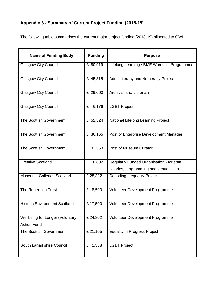### **Appendix 3 - Summary of Current Project Funding (2018-19)**

The following table summarises the current major project funding (2018-19) allocated to GWL:

| <b>Name of Funding Body</b>          | <b>Funding</b> | <b>Purpose</b>                             |
|--------------------------------------|----------------|--------------------------------------------|
| <b>Glasgow City Council</b>          | £ 80,919       | Lifelong Learning / BME Women's Programmes |
| <b>Glasgow City Council</b>          | £ 45,315       | Adult Literacy and Numeracy Project        |
| <b>Glasgow City Council</b>          | £ 29,000       | <b>Archivist and Librarian</b>             |
| <b>Glasgow City Council</b>          | 6,176<br>£     | <b>LGBT Project</b>                        |
| The Scottish Government              | £ 52,524       | National Lifelong Learning Project         |
| The Scottish Government              | £ 36,165       | Post of Enterprise Development Manager     |
| The Scottish Government              | £ 32,553       | Post of Museum Curator                     |
| <b>Creative Scotland</b>             | £116,802       | Regularly Funded Organisation - for staff  |
|                                      |                | salaries, programming and venue costs      |
| <b>Museums Galleries Scotland</b>    | £28,322        | <b>Decoding Inequality Project</b>         |
| The Robertson Trust                  | £ 8,500        | Volunteer Development Programme            |
| <b>Historic Environment Scotland</b> | £17,500        | Volunteer Development Programme            |
| Wellbeing for Longer (Voluntary      | £24,802        | Volunteer Development Programme            |
| <b>Action Fund</b>                   |                |                                            |
| The Scottish Government              | £ 21,105       | <b>Equality in Progress Project</b>        |
| South Lanarkshire Council            | 1,568<br>£     | <b>LGBT Project</b>                        |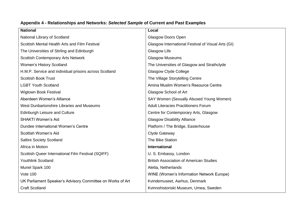| <b>National</b>                                            | Local                                              |
|------------------------------------------------------------|----------------------------------------------------|
| National Library of Scotland                               | <b>Glasgow Doors Open</b>                          |
| Scottish Mental Health Arts and Film Festival              | Glasgow International Festival of Visual Arts (GI) |
| The Universities of Stirling and Edinburgh                 | Glasgow Life                                       |
| <b>Scottish Contemporary Arts Network</b>                  | <b>Glasgow Museums</b>                             |
| <b>Women's History Scotland</b>                            | The Universities of Glasgow and Strathclyde        |
| H.M.P. Service and individual prisons across Scotland      | Glasgow Clyde College                              |
| <b>Scottish Book Trust</b>                                 | The Village Storytelling Centre                    |
| <b>LGBT Youth Scotland</b>                                 | Amina Muslim Women's Resource Centre               |
| <b>Wigtown Book Festival</b>                               | Glasgow School of Art                              |
| Aberdeen Women's Alliance                                  | SAY Women (Sexually Abused Young Women)            |
| West Dunbartonshire Libraries and Museums                  | <b>Adult Literacies Practitioners Forum</b>        |
| <b>Edinburgh Leisure and Culture</b>                       | Centre for Contemporary Arts, Glasgow              |
| <b>SHAKTI Women's Aid</b>                                  | <b>Glasgow Disability Alliance</b>                 |
| Dundee International Women's Centre                        | Platform / The Bridge, Easterhouse                 |
| Scottish Women's Aid                                       | Clyde Gateway                                      |
| <b>Saltire Society Scotland</b>                            | The Bike Station                                   |
| Africa in Motion                                           | <b>International</b>                               |
| Scottish Queer International Film Festival (SQIFF)         | U. S. Embassy, London                              |
| <b>Youthlink Scotland</b>                                  | <b>British Association of American Studies</b>     |
| Muriel Spark 100                                           | Aletta, Netherlands                                |
| <b>Vote 100</b>                                            | WINE (Women's Information Network Europe)          |
| UK Parliament Speaker's Advisory Committee on Works of Art | Kvindemuseet, Aarhus, Denmark                      |
| <b>Craft Scotland</b>                                      | Kvinnohistoriskt Museum, Umea, Sweden              |

### **Appendix 4 - Relationships and Networks:** *Selected Sample* **of Current and Past Examples**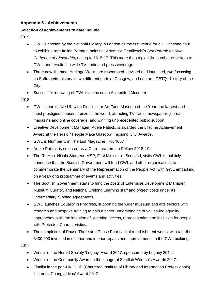### **Appendix 5 - Achievements**

### **Selection of achievements to date include:**

2019

- GWL is chosen by the National Gallery in London as the first venue for a UK national tour to exhibit a rare Italian Baroque painting: Artemisia Gentileschi's *Self Portrait as Saint Catherine of Alexandria*, dating to 1615-17. This more than tripled the number of visitors to GWL, and resulted in wide TV, radio and press coverage.
- Three new 'themed' Heritage Walks are researched, devised and launched, two focussing on Suffrage/tte history in two different parts of Glasgow, and one on LGBTQ+ history of the City.
- Successful renewing of GWL's status as an Accredited Museum.

2018

- GWL is one of five UK wide Finalists for Art Fund Museum of the Year, the largest and most prestigious museum prize in the world, attracting TV, radio, newspaper, journal, magazine and online coverage, and winning unprecedented public support.
- Creative Development Manager, Adele Patrick, is awarded the Lifetime Achievement Award at the Herald / People Make Glasgow 'Inspiring City' Awards.
- GWL is Number 1 in The List Magazine 'Hot 100.'
- Adele Patrick is selected as a Clore Leadership Fellow 2018-19.
- The Rt. Hon. Nicola Sturgeon MSP, First Minister of Scotland, visits GWL to publicly announce that the Scottish Government will fund GWL and other organisations to commemorate the Centenary of the Representation of the People Act, with GWL embarking on a year-long programme of events and activities.
- The Scottish Government starts to fund the posts of Enterprise Development Manager, Museum Curator, and National Lifelong Learning staff and project costs under its 'Intermediary' funding agreements.
- GWL launches Equality in Progress, supporting the wider museum and arts sectors with research and bespoke training to gain a better understanding of values-led equality approaches, with the intention of widening access, representation and inclusion for people with Protected Characteristics.
- The completion of Phase Three and Phase Four capital refurbishment works, with a further £400,000 invested in exterior and interior repairs and improvements to the GWL building.

- Winner of the Herald Society 'Legacy' Award 2017, sponsored by Legacy 2014.
- Winner of the Community Award in the inaugural Scottish Women's Awards 2017.
- Finalist in the pan-UK CILIP (Chartered Institute of Library and Information Professionals) 'Libraries Change Lives' Award 2017.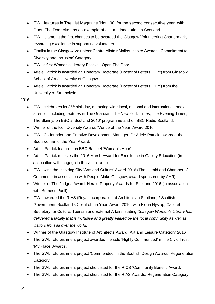- GWL features in The List Magazine 'Hot 100' for the second consecutive year, with Open The Door cited as an example of cultural innovation in Scotland.
- GWL is among the first charities to be awarded the Glasgow Volunteering Chartermark, rewarding excellence in supporting volunteers.
- Finalist in the Glasgow Volunteer Centre Alistair Malloy Inspire Awards, 'Commitment to Diversity and Inclusion' Category.
- GWL's first Women's Literary Festival, Open The Door.
- Adele Patrick is awarded an Honorary Doctorate (Doctor of Letters, DLitt) from Glasgow School of Art / University of Glasgow.
- Adele Patrick is awarded an Honorary Doctorate (Doctor of Letters, DLitt) from the University of Strathclyde.

- GWL celebrates its 25<sup>th</sup> birthday, attracting wide local, national and international media attention including features in The Guardian, The New York Times, The Evening Times, The Skinny; on BBC 2 'Scotland 2016' programme and on BBC Radio Scotland.
- Winner of the Icon Diversity Awards 'Venue of the Year' Award 2016.
- GWL Co-founder and Creative Development Manager, Dr Adele Patrick, awarded the Scotswoman of the Year Award.
- Adele Patrick featured on BBC Radio 4 'Woman's Hour'.
- Adele Patrick receives the 2016 Marsh Award for Excellence in Gallery Education (in assocation with 'engage in the visual arts').
- GWL wins the Inspiring City 'Arts and Culture' Award 2016 (The Herald and Chamber of Commerce in association with People Make Glasgow, award sponsored by AHR).
- Winner of The Judges Award, Herald Property Awards for Scotland 2016 (in association with Burness Paull).
- GWL awarded the RIAS (Royal Incorporation of Architects in Scotland) / Scottish Government 'Scotland's Client of the Year' Award 2016, with Fiona Hyslop, Cabinet Secretary for Culture, Tourism and External Affairs, stating *'Glasgow Women's Library has delivered a facility that is inclusive and greatly valued by the local community as well as visitors from all over the world.'*
- Winner of the Glasgow Institute of Architects Award, Art and Leisure Category 2016
- The GWL refurbishment project awarded the sole 'Highly Commended' in the Civic Trust 'My Place' Awards.
- The GWL refurbishment project 'Commended' in the Scottish Design Awards, Regeneration Category.
- The GWL refurbishment project shortlisted for the RICS 'Community Benefit' Award.
- The GWL refurbishment project shortlisted for the RIAS Awards, Regeneration Category.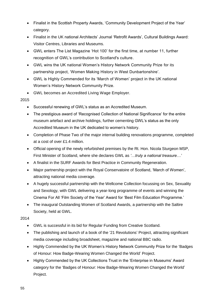- Finalist in the Scottish Property Awards, 'Community Development Project of the Year' category.
- Finalist in the UK national Architects' Journal 'Retrofit Awards', Cultural Buildings Award: Visitor Centres, Libraries and Museums.
- GWL enters The List Magazine 'Hot 100' for the first time, at number 11, further recognition of GWL's contribution to Scotland's culture.
- GWL wins the UK national Women's History Network Community Prize for its partnership project, 'Women Making History in West Dunbartonshire'.
- GWL is Highly Commended for its 'March of Women' project in the UK national Women's History Network Community Prize.
- GWL becomes an Accredited Living Wage Employer.

- Successful renewing of GWL's status as an Accredited Museum.
- The prestigious award of 'Recognised Collection of National Significance' for the entire museum artefact and archive holdings, further cementing GWL's status as the only Accredited Museum in the UK dedicated to women's history.
- Completion of Phase Two of the major internal building renovations programme, completed at a cost of over £1.4 million.
- Official opening of the newly refurbished premises by the Rt. Hon. Nicola Sturgeon MSP, First Minister of Scotland, where she declares GWL as *'…truly a national treasure…'*
- A finalist in the SURF Awards for Best Practice in Community Regeneration.
- Major partnership project with the Royal Conservatoire of Scotland, 'March of Women', attracting national media coverage.
- A hugely successful partnership with the Wellcome Collection focussing on Sex, Sexuality and Sexology, with GWL delivering a year-long programme of events and winning the Cinema For All 'Film Society of the Year' Award for 'Best Film Education Programme.'
- The inaugural Outstanding Women of Scotland Awards, a partnership with the Saltire Society, held at GWL.

- GWL is successful in its bid for Regular Funding from Creative Scotland.
- The publishing and launch of a book of the '21 Revolutions' Project, attracting significant media coverage including broadsheet, magazine and national BBC radio.
- Highly Commended by the UK Women's History Network Community Prize for the 'Badges of Honour: How Badge-Wearing Women Changed the World' Project.
- Highly Commended by the UK Collections Trust in the 'Enterprise in Museums' Award category for the 'Badges of Honour: How Badge-Wearing Women Changed the World' Project.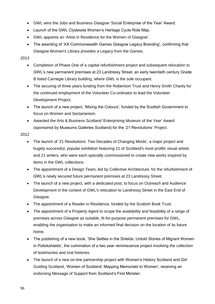- GWL wins the Jobs and Business Glasgow 'Social Enterprise of the Year' Award.
- Launch of the GWL Clydeside Women's Heritage Cycle Ride Map.
- GWL appoints an 'Artist in Residence for the Women of Glasgow'.
- The awarding of 'XX Commonwealth Games Glasgow Legacy Branding', confirming that Glasgow Women's Library provides a Legacy from the Games.

- Completion of Phase One of a capital refurbishment project and subsequent relocation to GWL's new permanent premises at 23 Landressy Street, an early twentieth century Grade B listed Carnegie Library building, where GWL is the sole occupant.
- The securing of three years funding from the Robertson Trust and Henry Smith Charity for the continued employment of the Volunteer Co-ordinator to lead the Volunteer Development Project.
- The launch of a new project, 'Mixing the Colours', funded by the Scottish Government to focus on Women and Sectarianism.
- Awarded the Arts & Business Scotland 'Enterprising Museum of the Year' Award (sponsored by Museums Galleries Scotland) for the '21 Revolutions' Project.

- The launch of '21 Revolutions: Two Decades of Changing Minds', a major project and hugely successful, popular exhibition featuring 21 of Scotland's most prolific visual artists and 21 writers, who were each specially commissioned to create new works inspired by items in the GWL collections.
- The appointment of a Design Team, led by Collective Architecture, for the refurbishment of GWL's newly secured future permanent premises at 23 Landressy Street.
- The launch of a new project, with a dedicated post, to focus on Outreach and Audience Development in the context of GWL's relocation to Landressy Street in the East End of Glasgow.
- The appointment of a Reader in Residence, funded by the Scottish Book Trust.
- The appointment of a Property Agent to scope the availability and feasibility of a range of premises across Glasgow as suitable, fit-for-purpose permanent premises for GWL, enabling the organisation to make an informed final decision on the location of its future home.
- The publishing of a new book, 'She Settles in the Shields: Untold Stories of Migrant Women in Pollokshields', the culmination of a two year reminiscence project involving the collection of testimonies and oral histories.
- The launch of a new on-line partnership project with Women's History Scotland and Girl Guiding Scotland, 'Women of Scotland: Mapping Memorials to Women', receiving an endorsing Message of Support from Scotland's First Minister.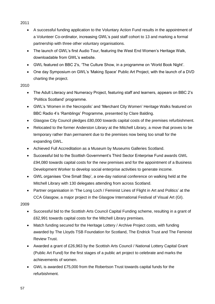- 2011
	- A successful funding application to the Voluntary Action Fund results in the appointment of a Volunteer Co-ordinator, increasing GWL's paid staff cohort to 13 and marking a formal partnership with three other voluntary organisations.
	- The launch of GWL's first Audio Tour, featuring the West End Women's Heritage Walk, downloadable from GWL's website.
	- GWL featured on BBC 2's, 'The Culture Show, in a programme on 'World Book Night'.
	- One day Symposium on GWL's 'Making Space' Public Art Project, with the launch of a DVD charting the project.

- The Adult Literacy and Numeracy Project, featuring staff and learners, appears on BBC 2's 'Politics Scotland' programme.
- GWL's 'Women in the Necropolis' and 'Merchant City Women' Heritage Walks featured on BBC Radio 4's 'Ramblings' Programme, presented by Clare Balding.
- Glasgow City Council pledges £80,000 towards capital costs of the premises refurbishment.
- Relocated to the former Anderston Library at the Mitchell Library, a move that proves to be temporary rather than permanent due to the premises now being too small for the expanding GWL.
- Achieved Full Accreditation as a Museum by Museums Galleries Scotland.
- Successful bid to the Scottish Government's Third Sector Enterprise Fund awards GWL £94,080 towards capital costs for the new premises and for the appointment of a Business Development Worker to develop social enterprise activities to generate income.
- GWL organises 'One Small Step', a one-day national conference on walking held at the Mitchell Library with 130 delegates attending from across Scotland.
- Partner organisation in 'The Long Loch / Feminist Lines of Flight in Art and Politics' at the CCA Glasgow, a major project in the Glasgow International Festival of Visual Art (GI).

- Successful bid to the Scottish Arts Council Capital Funding scheme, resulting in a grant of £62,991 towards capital costs for the Mitchell Library premises.
- Match funding secured for the Heritage Lottery / Archive Project costs, with funding awarded by The Lloyds TSB Foundation for Scotland, The Endrick Trust and The Feminist Review Trust.
- Awarded a grant of £26,963 by the Scottish Arts Council / National Lottery Capital Grant (Public Art Fund) for the first stages of a public art project to celebrate and marks the achievements of women.
- GWL is awarded £75,000 from the Robertson Trust towards capital funds for the refurbishment.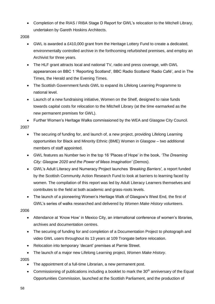- Completion of the RIAS / RIBA Stage D Report for GWL's relocation to the Mitchell Library, undertaken by Gareth Hoskins Architects.
- 2008
	- GWL is awarded a £410,000 grant from the Heritage Lottery Fund to create a dedicated, environmentally controlled archive in the forthcoming refurbished premises, and employ an Archivist for three years.
	- The HLF grant attracts local and national TV, radio and press coverage, with GWL appearances on BBC 1 'Reporting Scotland', BBC Radio Scotland 'Radio Café', and in The Times, the Herald and the Evening Times.
	- The Scottish Government funds GWL to expand its Lifelong Learning Programme to national level.
	- Launch of a new fundraising initiative. Women on the Shelf, designed to raise funds towards capital costs for relocation to the Mitchell Library (at the time earmarked as the new permanent premises for GWL).

Further Women's Heritage Walks commissioned by the WEA and Glasgow City Council.

2007

- The securing of funding for, and launch of, a new project, providing Lifelong Learning opportunities for Black and Minority Ethnic (BME) Women in Glasgow – two additional members of staff appointed.
- GWL features as Number two in the top 16 'Places of Hope' in the book, *'The Dreaming City: Glasgow 2020 and the Power of Mass Imagination'* (Demos).
- GWL's Adult Literacy and Numeracy Project launches *'Breaking Barriers'*, a report funded by the Scottish Community Action Research Fund to look at barriers to learning faced by women. The compilation of this report was led by Adult Literacy Learners themselves and contributes to the field at both academic and grass-roots levels.
- The launch of a pioneering Women's Heritage Walk of Glasgow's West End, the first of GWL's series of walks researched and delivered by *Women Make History* volunteers.

2006

- Attendance at 'Know How' in Mexico City, an international conference of women's libraries, archives and documentation centres.
- The securing of funding for and completion of a Documentation Project to photograph and video GWL users throughout its 13 years at 109 Trongate before relocation.
- Relocation into temporary 'decant' premises at Parnie Street.
- The launch of a major new Lifelong Learning project, *Women Make History*.

- The appointment of a full-time Librarian, a new permanent post.
- Commissioning of publications including a booklet to mark the  $30<sup>th</sup>$  anniversary of the Equal Opportunities Commission, launched at the Scottish Parliament, and the production of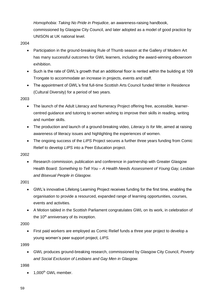*Homophobia: Taking No Pride in Prejudice*, an awareness-raising handbook, commissioned by Glasgow City Council, and later adopted as a model of good practice by UNISON at UK national level.

2004

- Participation in the ground-breaking Rule of Thumb season at the Gallery of Modern Art has many successful outcomes for GWL learners, including the award-winning *elbowroom* exhibition.
- Such is the rate of GWL's growth that an additional floor is rented within the building at 109 Trongate to accommodate an increase in projects, events and staff.
- The appointment of GWL's first full-time Scottish Arts Council funded Writer in Residence (Cultural Diversity) for a period of two years.

### 2003

- The launch of the Adult Literacy and Numeracy Project offering free, accessible, learnercentred guidance and tutoring to women wishing to improve their skills in reading, writing and number skills.
- The production and launch of a ground-breaking video, *Literacy Is for Me*, aimed at raising awareness of literacy issues and highlighting the experiences of women.
- The ongoing success of the *LIPS* Project secures a further three years funding from Comic Relief to develop *LIPS* into a Peer Education project.

2002

 Research commission, publication and conference in partnership with Greater Glasgow Health Board: *Something to Tell You – A Health Needs Assessment of Young Gay, Lesbian and Bisexual People in Glasgow.*

2001

- GWL's innovative Lifelong Learning Project receives funding for the first time, enabling the organisation to provide a resourced, expanded range of learning opportunities, courses, events and activities.
- A Motion tabled in the Scottish Parliament congratulates GWL on its work, in celebration of the  $10<sup>th</sup>$  anniversary of its inception.

2000

 First paid workers are employed as Comic Relief funds a three year project to develop a young women's peer support project, *LIPS.*

1999

 GWL produces ground-breaking research, commissioned by Glasgow City Council, *Poverty and Social Exclusion of Lesbians and Gay Men in Glasgow.*

1998

 $\bullet$  1.000<sup>th</sup> GWL member.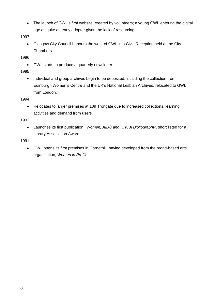• The launch of GWL's first website, created by volunteers; a young GWL entering the digital age as quite an early adopter given the lack of resourcing.

1997

 Glasgow City Council honours the work of GWL in a Civic Reception held at the City Chambers.

1996

GWL starts to produce a quarterly newsletter.

1995

• Individual and group archives begin to be deposited, including the collection from Edinburgh Women's Centre and the UK's National Lesbian Archives, relocated to GWL from London.

1994

 Relocates to larger premises at 109 Trongate due to increased collections, learning activities and demand from users.

1993

 Launches its first publication, '*Women, AIDS and HIV: A Bibliography'*, short listed for a Library Association Award.

1991

 GWL opens its first premises in Garnethill, having developed from the broad-based arts organisation, *Women in Profile.*